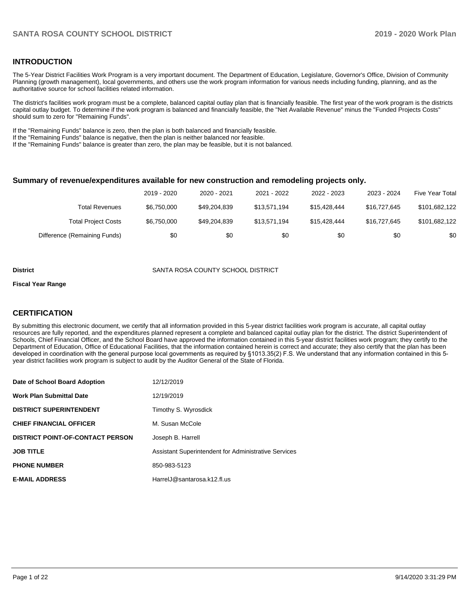#### **INTRODUCTION**

The 5-Year District Facilities Work Program is a very important document. The Department of Education, Legislature, Governor's Office, Division of Community Planning (growth management), local governments, and others use the work program information for various needs including funding, planning, and as the authoritative source for school facilities related information.

The district's facilities work program must be a complete, balanced capital outlay plan that is financially feasible. The first year of the work program is the districts capital outlay budget. To determine if the work program is balanced and financially feasible, the "Net Available Revenue" minus the "Funded Projects Costs" should sum to zero for "Remaining Funds".

If the "Remaining Funds" balance is zero, then the plan is both balanced and financially feasible.

If the "Remaining Funds" balance is negative, then the plan is neither balanced nor feasible.

If the "Remaining Funds" balance is greater than zero, the plan may be feasible, but it is not balanced.

#### **Summary of revenue/expenditures available for new construction and remodeling projects only.**

|                              | 2019 - 2020 | 2020 - 2021  | 2021 - 2022  | 2022 - 2023  | 2023 - 2024  | <b>Five Year Total</b> |
|------------------------------|-------------|--------------|--------------|--------------|--------------|------------------------|
| Total Revenues               | \$6.750.000 | \$49,204,839 | \$13.571.194 | \$15.428.444 | \$16.727.645 | \$101,682,122          |
| <b>Total Project Costs</b>   | \$6,750,000 | \$49,204,839 | \$13.571.194 | \$15.428.444 | \$16.727.645 | \$101.682.122          |
| Difference (Remaining Funds) | \$0         | \$0          | \$0          | \$0          | \$0          | \$0                    |

**District** SANTA ROSA COUNTY SCHOOL DISTRICT

#### **Fiscal Year Range**

### **CERTIFICATION**

By submitting this electronic document, we certify that all information provided in this 5-year district facilities work program is accurate, all capital outlay resources are fully reported, and the expenditures planned represent a complete and balanced capital outlay plan for the district. The district Superintendent of Schools, Chief Financial Officer, and the School Board have approved the information contained in this 5-year district facilities work program; they certify to the Department of Education, Office of Educational Facilities, that the information contained herein is correct and accurate; they also certify that the plan has been developed in coordination with the general purpose local governments as required by §1013.35(2) F.S. We understand that any information contained in this 5 year district facilities work program is subject to audit by the Auditor General of the State of Florida.

| Date of School Board Adoption           | 12/12/2019                                           |
|-----------------------------------------|------------------------------------------------------|
| <b>Work Plan Submittal Date</b>         | 12/19/2019                                           |
| <b>DISTRICT SUPERINTENDENT</b>          | Timothy S. Wyrosdick                                 |
| <b>CHIEF FINANCIAL OFFICER</b>          | M. Susan McCole                                      |
| <b>DISTRICT POINT-OF-CONTACT PERSON</b> | Joseph B. Harrell                                    |
| <b>JOB TITLE</b>                        | Assistant Superintendent for Administrative Services |
| <b>PHONE NUMBER</b>                     | 850-983-5123                                         |
| <b>E-MAIL ADDRESS</b>                   | HarrelJ@santarosa.k12.fl.us                          |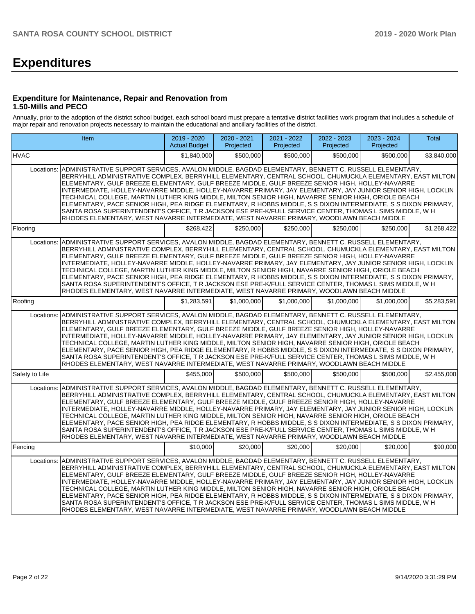# **Expenditures**

#### **Expenditure for Maintenance, Repair and Renovation from 1.50-Mills and PECO**

Annually, prior to the adoption of the district school budget, each school board must prepare a tentative district facilities work program that includes a schedule of major repair and renovation projects necessary to maintain the educational and ancillary facilities of the district.

| <b>Item</b>                                                                                                                                                                                                                                                                                                                                                                                                                                                                                                                                                                                                                                                                                                                                                                                                                                                                       | $2019 - 2020$<br><b>Actual Budget</b> | $2020 - 2021$<br>Projected | $2021 - 2022$<br>Projected | 2022 - 2023<br>Projected | 2023 - 2024<br>Projected | Total       |
|-----------------------------------------------------------------------------------------------------------------------------------------------------------------------------------------------------------------------------------------------------------------------------------------------------------------------------------------------------------------------------------------------------------------------------------------------------------------------------------------------------------------------------------------------------------------------------------------------------------------------------------------------------------------------------------------------------------------------------------------------------------------------------------------------------------------------------------------------------------------------------------|---------------------------------------|----------------------------|----------------------------|--------------------------|--------------------------|-------------|
| <b>HVAC</b>                                                                                                                                                                                                                                                                                                                                                                                                                                                                                                                                                                                                                                                                                                                                                                                                                                                                       | \$1.840.000                           | \$500.000                  | \$500.000                  | \$500.000                | \$500.000                | \$3,840,000 |
| ADMINISTRATIVE SUPPORT SERVICES, AVALON MIDDLE, BAGDAD ELEMENTARY, BENNETT C. RUSSELL ELEMENTARY,<br>Locations:<br>BERRYHILL ADMINISTRATIVE COMPLEX, BERRYHILL ELEMENTARY, CENTRAL SCHOOL, CHUMUCKLA ELEMENTARY, EAST MILTON<br>ELEMENTARY, GULF BREEZE ELEMENTARY, GULF BREEZE MIDDLE, GULF BREEZE SENIOR HIGH, HOLLEY-NAVARRE<br>INTERMEDIATE, HOLLEY-NAVARRE MIDDLE, HOLLEY-NAVARRE PRIMARY, JAY ELEMENTARY, JAY JUNIOR SENIOR HIGH, LOCKLIN<br>TECHNICAL COLLEGE, MARTIN LUTHER KING MIDDLE, MILTON SENIOR HIGH, NAVARRE SENIOR HIGH, ORIOLE BEACH<br>ELEMENTARY, PACE SENIOR HIGH, PEA RIDGE ELEMENTARY, R HOBBS MIDDLE, S S DIXON INTERMEDIATE, S S DIXON PRIMARY,<br>SANTA ROSA SUPERINTENDENT'S OFFICE, T R JACKSON ESE PRE-K/FULL SERVICE CENTER, THOMAS L SIMS MIDDLE, W H<br>RHODES ELEMENTARY, WEST NAVARRE INTERMEDIATE, WEST NAVARRE PRIMARY, WOODLAWN BEACH MIDDLE |                                       |                            |                            |                          |                          |             |
| Flooring                                                                                                                                                                                                                                                                                                                                                                                                                                                                                                                                                                                                                                                                                                                                                                                                                                                                          | \$268.422                             | \$250.000                  | \$250.000                  | \$250,000                | \$250,000                | \$1,268,422 |
| ADMINISTRATIVE SUPPORT SERVICES, AVALON MIDDLE, BAGDAD ELEMENTARY, BENNETT C. RUSSELL ELEMENTARY,<br>Locations:<br>BERRYHILL ADMINISTRATIVE COMPLEX, BERRYHILL ELEMENTARY, CENTRAL SCHOOL, CHUMUCKLA ELEMENTARY, EAST MILTON<br>ELEMENTARY, GULF BREEZE ELEMENTARY, GULF BREEZE MIDDLE, GULF BREEZE SENIOR HIGH, HOLLEY-NAVARRE<br>INTERMEDIATE, HOLLEY-NAVARRE MIDDLE, HOLLEY-NAVARRE PRIMARY, JAY ELEMENTARY, JAY JUNIOR SENIOR HIGH, LOCKLIN<br>TECHNICAL COLLEGE. MARTIN LUTHER KING MIDDLE. MILTON SENIOR HIGH. NAVARRE SENIOR HIGH. ORIOLE BEACH<br>ELEMENTARY, PACE SENIOR HIGH, PEA RIDGE ELEMENTARY, R HOBBS MIDDLE, S S DIXON INTERMEDIATE, S S DIXON PRIMARY,<br>SANTA ROSA SUPERINTENDENT'S OFFICE, T R JACKSON ESE PRE-K/FULL SERVICE CENTER, THOMAS L SIMS MIDDLE, W H<br>RHODES ELEMENTARY, WEST NAVARRE INTERMEDIATE, WEST NAVARRE PRIMARY, WOODLAWN BEACH MIDDLE |                                       |                            |                            |                          |                          |             |
| Roofing                                                                                                                                                                                                                                                                                                                                                                                                                                                                                                                                                                                                                                                                                                                                                                                                                                                                           | \$1.283.591                           | \$1.000.000                | \$1.000.000                | \$1.000.000              | \$1,000,000              | \$5,283,591 |
| ADMINISTRATIVE SUPPORT SERVICES, AVALON MIDDLE, BAGDAD ELEMENTARY, BENNETT C. RUSSELL ELEMENTARY,<br>Locations:<br>BERRYHILL ADMINISTRATIVE COMPLEX, BERRYHILL ELEMENTARY, CENTRAL SCHOOL, CHUMUCKLA ELEMENTARY, EAST MILTON<br>ELEMENTARY, GULF BREEZE ELEMENTARY, GULF BREEZE MIDDLE, GULF BREEZE SENIOR HIGH, HOLLEY-NAVARRE<br>INTERMEDIATE, HOLLEY-NAVARRE MIDDLE, HOLLEY-NAVARRE PRIMARY, JAY ELEMENTARY, JAY JUNIOR SENIOR HIGH, LOCKLIN<br>TECHNICAL COLLEGE, MARTIN LUTHER KING MIDDLE, MILTON SENIOR HIGH, NAVARRE SENIOR HIGH, ORIOLE BEACH<br>ELEMENTARY, PACE SENIOR HIGH, PEA RIDGE ELEMENTARY, R HOBBS MIDDLE, S S DIXON INTERMEDIATE, S S DIXON PRIMARY,<br>SANTA ROSA SUPERINTENDENT'S OFFICE, T R JACKSON ESE PRE-K/FULL SERVICE CENTER, THOMAS L SIMS MIDDLE, W H<br>RHODES ELEMENTARY, WEST NAVARRE INTERMEDIATE, WEST NAVARRE PRIMARY, WOODLAWN BEACH MIDDLE |                                       |                            |                            |                          |                          |             |
| Safety to Life                                                                                                                                                                                                                                                                                                                                                                                                                                                                                                                                                                                                                                                                                                                                                                                                                                                                    | \$455,000                             | \$500.000                  | \$500,000                  | \$500,000                | \$500,000                | \$2,455,000 |
| ADMINISTRATIVE SUPPORT SERVICES, AVALON MIDDLE, BAGDAD ELEMENTARY, BENNETT C. RUSSELL ELEMENTARY,<br>Locations:<br>BERRYHILL ADMINISTRATIVE COMPLEX, BERRYHILL ELEMENTARY, CENTRAL SCHOOL, CHUMUCKLA ELEMENTARY, EAST MILTON<br>ELEMENTARY, GULF BREEZE ELEMENTARY, GULF BREEZE MIDDLE, GULF BREEZE SENIOR HIGH, HOLLEY-NAVARRE<br>INTERMEDIATE, HOLLEY-NAVARRE MIDDLE, HOLLEY-NAVARRE PRIMARY, JAY ELEMENTARY, JAY JUNIOR SENIOR HIGH, LOCKLIN<br>TECHNICAL COLLEGE, MARTIN LUTHER KING MIDDLE, MILTON SENIOR HIGH, NAVARRE SENIOR HIGH, ORIOLE BEACH<br>ELEMENTARY, PACE SENIOR HIGH, PEA RIDGE ELEMENTARY, R HOBBS MIDDLE, S S DIXON INTERMEDIATE, S S DIXON PRIMARY,<br>SANTA ROSA SUPERINTENDENT'S OFFICE, T R JACKSON ESE PRE-K/FULL SERVICE CENTER, THOMAS L SIMS MIDDLE, W H<br>RHODES ELEMENTARY, WEST NAVARRE INTERMEDIATE, WEST NAVARRE PRIMARY, WOODLAWN BEACH MIDDLE |                                       |                            |                            |                          |                          |             |
| Fencing                                                                                                                                                                                                                                                                                                                                                                                                                                                                                                                                                                                                                                                                                                                                                                                                                                                                           | \$10,000                              | \$20,000                   | \$20,000                   | \$20,000                 | \$20,000                 | \$90,000    |
| ADMINISTRATIVE SUPPORT SERVICES, AVALON MIDDLE, BAGDAD ELEMENTARY, BENNETT C, RUSSELL ELEMENTARY,<br>Locations:<br>BERRYHILL ADMINISTRATIVE COMPLEX, BERRYHILL ELEMENTARY, CENTRAL SCHOOL, CHUMUCKLA ELEMENTARY, EAST MILTON<br>ELEMENTARY, GULF BREEZE ELEMENTARY, GULF BREEZE MIDDLE, GULF BREEZE SENIOR HIGH, HOLLEY-NAVARRE<br>INTERMEDIATE, HOLLEY-NAVARRE MIDDLE, HOLLEY-NAVARRE PRIMARY, JAY ELEMENTARY, JAY JUNIOR SENIOR HIGH, LOCKLIN<br>TECHNICAL COLLEGE, MARTIN LUTHER KING MIDDLE, MILTON SENIOR HIGH, NAVARRE SENIOR HIGH, ORIOLE BEACH<br>ELEMENTARY, PACE SENIOR HIGH, PEA RIDGE ELEMENTARY, R HOBBS MIDDLE, S S DIXON INTERMEDIATE, S S DIXON PRIMARY,<br>SANTA ROSA SUPERINTENDENT'S OFFICE, T R JACKSON ESE PRE-K/FULL SERVICE CENTER, THOMAS L SIMS MIDDLE, W H<br>RHODES ELEMENTARY, WEST NAVARRE INTERMEDIATE, WEST NAVARRE PRIMARY, WOODLAWN BEACH MIDDLE |                                       |                            |                            |                          |                          |             |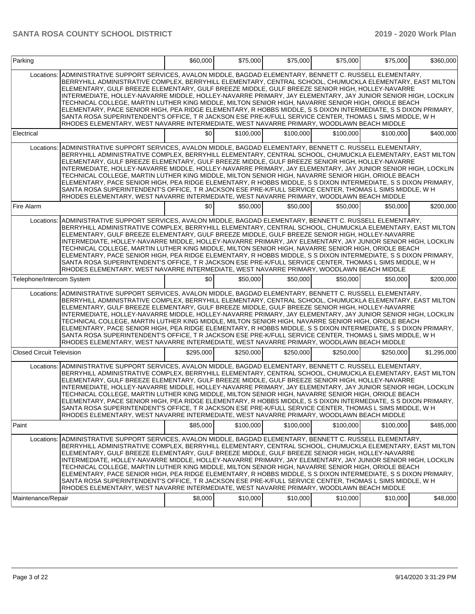| Parking                          |                                                                                                                                                                                                                                                                                                                                                                                                                                                                                                                                                                                                                                                                                                                                                                                                                                                                                | \$60,000  | \$75,000  | \$75,000  | \$75,000  | \$75,000  | \$360,000   |
|----------------------------------|--------------------------------------------------------------------------------------------------------------------------------------------------------------------------------------------------------------------------------------------------------------------------------------------------------------------------------------------------------------------------------------------------------------------------------------------------------------------------------------------------------------------------------------------------------------------------------------------------------------------------------------------------------------------------------------------------------------------------------------------------------------------------------------------------------------------------------------------------------------------------------|-----------|-----------|-----------|-----------|-----------|-------------|
| Locations:                       | ADMINISTRATIVE SUPPORT SERVICES, AVALON MIDDLE, BAGDAD ELEMENTARY, BENNETT C. RUSSELL ELEMENTARY,<br>BERRYHILL ADMINISTRATIVE COMPLEX, BERRYHILL ELEMENTARY, CENTRAL SCHOOL, CHUMUCKLA ELEMENTARY, EAST MILTON<br>ELEMENTARY, GULF BREEZE ELEMENTARY, GULF BREEZE MIDDLE, GULF BREEZE SENIOR HIGH, HOLLEY-NAVARRE<br>INTERMEDIATE, HOLLEY-NAVARRE MIDDLE, HOLLEY-NAVARRE PRIMARY, JAY ELEMENTARY, JAY JUNIOR SENIOR HIGH, LOCKLIN<br>TECHNICAL COLLEGE, MARTIN LUTHER KING MIDDLE, MILTON SENIOR HIGH, NAVARRE SENIOR HIGH, ORIOLE BEACH<br>ELEMENTARY, PACE SENIOR HIGH, PEA RIDGE ELEMENTARY, R HOBBS MIDDLE, S S DIXON INTERMEDIATE, S S DIXON PRIMARY,<br>SANTA ROSA SUPERINTENDENT'S OFFICE, T R JACKSON ESE PRE-K/FULL SERVICE CENTER, THOMAS L SIMS MIDDLE, W H<br>RHODES ELEMENTARY, WEST NAVARRE INTERMEDIATE, WEST NAVARRE PRIMARY, WOODLAWN BEACH MIDDLE            |           |           |           |           |           |             |
| Electrical                       |                                                                                                                                                                                                                                                                                                                                                                                                                                                                                                                                                                                                                                                                                                                                                                                                                                                                                | \$0       | \$100,000 | \$100,000 | \$100.000 | \$100,000 | \$400,000   |
| Locations:                       | ADMINISTRATIVE SUPPORT SERVICES, AVALON MIDDLE, BAGDAD ELEMENTARY, BENNETT C. RUSSELL ELEMENTARY,<br>BERRYHILL ADMINISTRATIVE COMPLEX, BERRYHILL ELEMENTARY, CENTRAL SCHOOL, CHUMUCKLA ELEMENTARY, EAST MILTON<br>ELEMENTARY, GULF BREEZE ELEMENTARY, GULF BREEZE MIDDLE, GULF BREEZE SENIOR HIGH, HOLLEY-NAVARRE<br>INTERMEDIATE, HOLLEY-NAVARRE MIDDLE, HOLLEY-NAVARRE PRIMARY, JAY ELEMENTARY, JAY JUNIOR SENIOR HIGH, LOCKLIN<br>TECHNICAL COLLEGE, MARTIN LUTHER KING MIDDLE, MILTON SENIOR HIGH, NAVARRE SENIOR HIGH, ORIOLE BEACH<br>ELEMENTARY, PACE SENIOR HIGH, PEA RIDGE ELEMENTARY, R HOBBS MIDDLE, S S DIXON INTERMEDIATE, S S DIXON PRIMARY,<br>SANTA ROSA SUPERINTENDENT'S OFFICE, T R JACKSON ESE PRE-K/FULL SERVICE CENTER, THOMAS L SIMS MIDDLE, W H<br>RHODES ELEMENTARY, WEST NAVARRE INTERMEDIATE, WEST NAVARRE PRIMARY, WOODLAWN BEACH MIDDLE            |           |           |           |           |           |             |
| Fire Alarm                       |                                                                                                                                                                                                                                                                                                                                                                                                                                                                                                                                                                                                                                                                                                                                                                                                                                                                                | \$0       | \$50,000  | \$50,000  | \$50,000  | \$50,000  | \$200,000   |
|                                  | Locations: ADMINISTRATIVE SUPPORT SERVICES, AVALON MIDDLE, BAGDAD ELEMENTARY, BENNETT C. RUSSELL ELEMENTARY,<br>BERRYHILL ADMINISTRATIVE COMPLEX, BERRYHILL ELEMENTARY, CENTRAL SCHOOL, CHUMUCKLA ELEMENTARY, EAST MILTON<br>ELEMENTARY, GULF BREEZE ELEMENTARY, GULF BREEZE MIDDLE, GULF BREEZE SENIOR HIGH, HOLLEY-NAVARRE<br>INTERMEDIATE, HOLLEY-NAVARRE MIDDLE, HOLLEY-NAVARRE PRIMARY, JAY ELEMENTARY, JAY JUNIOR SENIOR HIGH, LOCKLIN<br>TECHNICAL COLLEGE. MARTIN LUTHER KING MIDDLE. MILTON SENIOR HIGH. NAVARRE SENIOR HIGH. ORIOLE BEACH<br>ELEMENTARY, PACE SENIOR HIGH, PEA RIDGE ELEMENTARY, R HOBBS MIDDLE, S S DIXON INTERMEDIATE, S S DIXON PRIMARY,<br>SANTA ROSA SUPERINTENDENT'S OFFICE, T R JACKSON ESE PRE-K/FULL SERVICE CENTER, THOMAS L SIMS MIDDLE, W H<br>RHODES ELEMENTARY, WEST NAVARRE INTERMEDIATE, WEST NAVARRE PRIMARY, WOODLAWN BEACH MIDDLE |           |           |           |           |           |             |
| Telephone/Intercom System        |                                                                                                                                                                                                                                                                                                                                                                                                                                                                                                                                                                                                                                                                                                                                                                                                                                                                                | \$0       | \$50,000  | \$50,000  | \$50,000  | \$50,000  | \$200,000   |
| Locations:                       | ADMINISTRATIVE SUPPORT SERVICES, AVALON MIDDLE, BAGDAD ELEMENTARY, BENNETT C. RUSSELL ELEMENTARY,<br>BERRYHILL ADMINISTRATIVE COMPLEX, BERRYHILL ELEMENTARY, CENTRAL SCHOOL, CHUMUCKLA ELEMENTARY, EAST MILTON<br>ELEMENTARY, GULF BREEZE ELEMENTARY, GULF BREEZE MIDDLE, GULF BREEZE SENIOR HIGH, HOLLEY-NAVARRE<br>INTERMEDIATE, HOLLEY-NAVARRE MIDDLE, HOLLEY-NAVARRE PRIMARY, JAY ELEMENTARY, JAY JUNIOR SENIOR HIGH, LOCKLIN<br>TECHNICAL COLLEGE, MARTIN LUTHER KING MIDDLE, MILTON SENIOR HIGH, NAVARRE SENIOR HIGH, ORIOLE BEACH<br>ELEMENTARY, PACE SENIOR HIGH, PEA RIDGE ELEMENTARY, R HOBBS MIDDLE, S S DIXON INTERMEDIATE, S S DIXON PRIMARY,<br>SANTA ROSA SUPERINTENDENT'S OFFICE, T R JACKSON ESE PRE-K/FULL SERVICE CENTER, THOMAS L SIMS MIDDLE, W H<br>RHODES ELEMENTARY, WEST NAVARRE INTERMEDIATE, WEST NAVARRE PRIMARY, WOODLAWN BEACH MIDDLE            |           |           |           |           |           |             |
| <b>Closed Circuit Television</b> |                                                                                                                                                                                                                                                                                                                                                                                                                                                                                                                                                                                                                                                                                                                                                                                                                                                                                | \$295,000 | \$250.000 | \$250,000 | \$250,000 | \$250,000 | \$1,295,000 |
|                                  | Locations: ADMINISTRATIVE SUPPORT SERVICES, AVALON MIDDLE, BAGDAD ELEMENTARY, BENNETT C. RUSSELL ELEMENTARY,<br>BERRYHILL ADMINISTRATIVE COMPLEX, BERRYHILL ELEMENTARY, CENTRAL SCHOOL, CHUMUCKLA ELEMENTARY, EAST MILTON<br>ELEMENTARY, GULF BREEZE ELEMENTARY, GULF BREEZE MIDDLE, GULF BREEZE SENIOR HIGH, HOLLEY-NAVARRE<br>INTERMEDIATE, HOLLEY-NAVARRE MIDDLE, HOLLEY-NAVARRE PRIMARY, JAY ELEMENTARY, JAY JUNIOR SENIOR HIGH, LOCKLIN<br>TECHNICAL COLLEGE, MARTIN LUTHER KING MIDDLE, MILTON SENIOR HIGH, NAVARRE SENIOR HIGH, ORIOLE BEACH<br>ELEMENTARY, PACE SENIOR HIGH, PEA RIDGE ELEMENTARY, R HOBBS MIDDLE, S S DIXON INTERMEDIATE, S S DIXON PRIMARY,<br>SANTA ROSA SUPERINTENDENT'S OFFICE, T R JACKSON ESE PRE-K/FULL SERVICE CENTER, THOMAS L SIMS MIDDLE, W H<br>RHODES ELEMENTARY, WEST NAVARRE INTERMEDIATE, WEST NAVARRE PRIMARY, WOODLAWN BEACH MIDDLE |           |           |           |           |           |             |
| Paint                            |                                                                                                                                                                                                                                                                                                                                                                                                                                                                                                                                                                                                                                                                                                                                                                                                                                                                                | \$85,000  | \$100,000 | \$100,000 | \$100,000 | \$100,000 | \$485,000   |
| Locations:<br>Maintenance/Repair | ADMINISTRATIVE SUPPORT SERVICES, AVALON MIDDLE, BAGDAD ELEMENTARY, BENNETT C. RUSSELL ELEMENTARY,<br>BERRYHILL ADMINISTRATIVE COMPLEX, BERRYHILL ELEMENTARY, CENTRAL SCHOOL, CHUMUCKLA ELEMENTARY, EAST MILTON<br>ELEMENTARY, GULF BREEZE ELEMENTARY, GULF BREEZE MIDDLE, GULF BREEZE SENIOR HIGH, HOLLEY-NAVARRE<br>INTERMEDIATE, HOLLEY-NAVARRE MIDDLE, HOLLEY-NAVARRE PRIMARY, JAY ELEMENTARY, JAY JUNIOR SENIOR HIGH, LOCKLIN<br>TECHNICAL COLLEGE. MARTIN LUTHER KING MIDDLE. MILTON SENIOR HIGH. NAVARRE SENIOR HIGH. ORIOLE BEACH<br>ELEMENTARY, PACE SENIOR HIGH, PEA RIDGE ELEMENTARY, R HOBBS MIDDLE, S S DIXON INTERMEDIATE, S S DIXON PRIMARY,<br>SANTA ROSA SUPERINTENDENT'S OFFICE, T R JACKSON ESE PRE-K/FULL SERVICE CENTER, THOMAS L SIMS MIDDLE, W H<br>RHODES ELEMENTARY, WEST NAVARRE INTERMEDIATE, WEST NAVARRE PRIMARY, WOODLAWN BEACH MIDDLE            | \$8,000   | \$10,000  | \$10,000  | \$10,000  | \$10,000  | \$48,000    |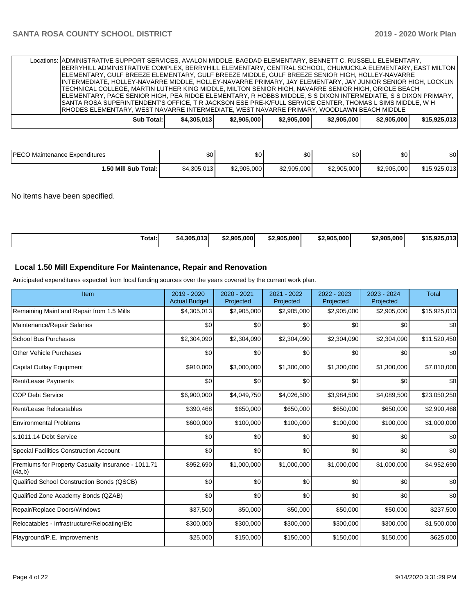| IELEMENTARY. GULF BREEZE ELEMENTARY. GULF BREEZE MIDDLE. GULF BREEZE SENIOR HIGH. HOLLEY-NAVARRE<br>INTERMEDIATE, HOLLEY-NAVARRE MIDDLE, HOLLEY-NAVARRE PRIMARY, JAY ELEMENTARY, JAY JUNIOR SENIOR HIGH, LOCKLIN<br>TECHNICAL COLLEGE, MARTIN LUTHER KING MIDDLE, MILTON SENIOR HIGH, NAVARRE SENIOR HIGH, ORIOLE BEACH<br> ELEMENTARY, PACE SENIOR HIGH, PEA RIDGE ELEMENTARY, R HOBBS MIDDLE, S S DIXON INTERMEDIATE, S S DIXON PRIMARY,<br>SANTA ROSA SUPERINTENDENT'S OFFICE. T R JACKSON ESE PRE-K/FULL SERVICE CENTER, THOMAS L SIMS MIDDLE, W H |             |             |             |             |             |              |
|--------------------------------------------------------------------------------------------------------------------------------------------------------------------------------------------------------------------------------------------------------------------------------------------------------------------------------------------------------------------------------------------------------------------------------------------------------------------------------------------------------------------------------------------------------|-------------|-------------|-------------|-------------|-------------|--------------|
| IRHODES ELEMENTARY. WEST NAVARRE INTERMEDIATE. WEST NAVARRE PRIMARY. WOODLAWN BEACH MIDDLE<br>Sub Total:                                                                                                                                                                                                                                                                                                                                                                                                                                               | \$4.305.013 | \$2,905,000 | \$2,905,000 | \$2,905,000 | \$2,905,000 | \$15,925,013 |

| <b>IPECO Maintenance Expenditures</b> | \$0 <sub>1</sub> | $\sim$<br>ມບ | ሶሳ<br>ΦU    | \$0         | \$0         | \$0          |
|---------------------------------------|------------------|--------------|-------------|-------------|-------------|--------------|
| I.50 Mill Sub Total: I                | \$4,305,013      | \$2,905,000  | \$2,905,000 | \$2,905,000 | \$2,905,000 | \$15,925,013 |

No items have been specified.

| Гotal: | \$4.305.01 | $$2.905.000$ <sup>1</sup> | \$2,905,000 | \$2.905.000 | \$2,905,000 | 042<br>ፍ15 Q2F<br>. |
|--------|------------|---------------------------|-------------|-------------|-------------|---------------------|
|--------|------------|---------------------------|-------------|-------------|-------------|---------------------|

### **Local 1.50 Mill Expenditure For Maintenance, Repair and Renovation**

Anticipated expenditures expected from local funding sources over the years covered by the current work plan.

| Item                                                         | 2019 - 2020<br><b>Actual Budget</b> | 2020 - 2021<br>Projected | 2021 - 2022<br>Projected | 2022 - 2023<br>Projected | 2023 - 2024<br>Projected | <b>Total</b> |
|--------------------------------------------------------------|-------------------------------------|--------------------------|--------------------------|--------------------------|--------------------------|--------------|
| Remaining Maint and Repair from 1.5 Mills                    | \$4,305,013                         | \$2,905,000              | \$2,905,000              | \$2,905,000              | \$2,905,000              | \$15,925,013 |
| Maintenance/Repair Salaries                                  | \$0                                 | \$0                      | \$0                      | \$0                      | \$0                      | \$0          |
| <b>School Bus Purchases</b>                                  | \$2,304,090                         | \$2,304,090              | \$2,304,090              | \$2,304,090              | \$2,304,090              | \$11,520,450 |
| <b>Other Vehicle Purchases</b>                               | \$0                                 | \$0                      | \$0                      | \$0                      | \$0                      | \$0          |
| <b>Capital Outlay Equipment</b>                              | \$910,000                           | \$3,000,000              | \$1,300,000              | \$1,300,000              | \$1,300,000              | \$7,810,000  |
| <b>Rent/Lease Payments</b>                                   | \$0                                 | \$0                      | \$0                      | \$0                      | \$0                      | \$0          |
| <b>COP Debt Service</b>                                      | \$6,900,000                         | \$4,049,750              | \$4,026,500              | \$3,984,500              | \$4,089,500              | \$23,050,250 |
| Rent/Lease Relocatables                                      | \$390,468                           | \$650,000                | \$650,000                | \$650,000                | \$650,000                | \$2,990,468  |
| <b>Environmental Problems</b>                                | \$600,000                           | \$100,000                | \$100,000                | \$100,000                | \$100,000                | \$1,000,000  |
| ls.1011.14 Debt Service                                      | \$0                                 | \$0                      | \$0                      | \$0                      | \$0                      | \$0          |
| <b>Special Facilities Construction Account</b>               | \$0                                 | \$0                      | \$0                      | \$0                      | \$0                      | \$0          |
| Premiums for Property Casualty Insurance - 1011.71<br>(4a,b) | \$952,690                           | \$1,000,000              | \$1,000,000              | \$1,000,000              | \$1,000,000              | \$4,952,690  |
| Qualified School Construction Bonds (QSCB)                   | \$0                                 | \$0                      | \$0                      | \$0                      | \$0                      | \$0          |
| Qualified Zone Academy Bonds (QZAB)                          | \$0                                 | \$0                      | \$0                      | \$0                      | \$0                      | \$0          |
| Repair/Replace Doors/Windows                                 | \$37,500                            | \$50,000                 | \$50,000                 | \$50,000                 | \$50,000                 | \$237,500    |
| Relocatables - Infrastructure/Relocating/Etc                 | \$300,000                           | \$300,000                | \$300,000                | \$300,000                | \$300,000                | \$1,500,000  |
| Playground/P.E. Improvements                                 | \$25,000                            | \$150,000                | \$150,000                | \$150,000                | \$150,000                | \$625,000    |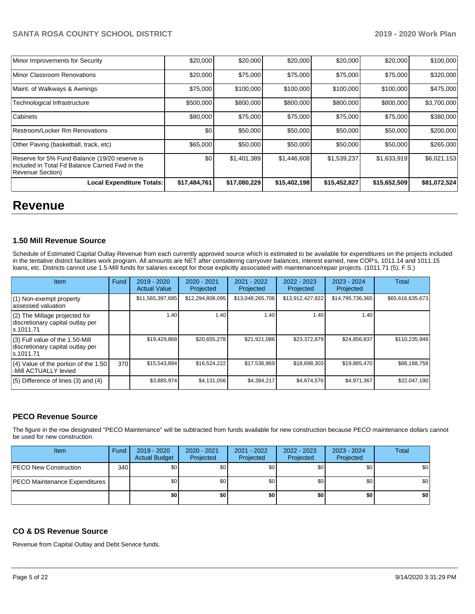| Minor Improvements for Security                                                                                       | \$20,000     | \$20,000     | \$20,000     | \$20,000     | \$20,000     | \$100,000    |
|-----------------------------------------------------------------------------------------------------------------------|--------------|--------------|--------------|--------------|--------------|--------------|
| Minor Classroom Renovations                                                                                           | \$20,000     | \$75,000     | \$75,000     | \$75,000     | \$75,000     | \$320,000    |
| Maint. of Walkways & Awnings                                                                                          | \$75,000     | \$100,000    | \$100,000    | \$100,000    | \$100,000    | \$475,000    |
| Technological Infrastructure                                                                                          | \$500,000    | \$800,000    | \$800,000    | \$800,000    | \$800,000    | \$3,700,000  |
| Cabinets                                                                                                              | \$80,000     | \$75,000     | \$75,000     | \$75,000     | \$75,000     | \$380,000    |
| Restroom/Locker Rm Renovations                                                                                        | \$0          | \$50,000     | \$50,000     | \$50,000     | \$50,000     | \$200,000    |
| Other Paving (basketball, track, etc)                                                                                 | \$65,000     | \$50,000     | \$50,000     | \$50,000     | \$50,000     | \$265,000    |
| Reserve for 5% Fund Balance (19/20 reserve is<br>lincluded in Total Fd Balance Carried Fwd in the<br>Revenue Section) | \$0          | \$1,401,389  | \$1,446,608  | \$1,539,237  | \$1,633,919  | \$6,021,153  |
| <b>Local Expenditure Totals:</b>                                                                                      | \$17,484,761 | \$17,080,229 | \$15,402,198 | \$15,452,827 | \$15,652,509 | \$81,072,524 |

# **Revenue**

#### **1.50 Mill Revenue Source**

Schedule of Estimated Capital Outlay Revenue from each currently approved source which is estimated to be available for expenditures on the projects included in the tentative district facilities work program. All amounts are NET after considering carryover balances, interest earned, new COP's, 1011.14 and 1011.15 loans, etc. Districts cannot use 1.5-Mill funds for salaries except for those explicitly associated with maintenance/repair projects. (1011.71 (5), F.S.)

| Item                                                                                | Fund | $2019 - 2020$<br><b>Actual Value</b> | $2020 - 2021$<br>Projected | 2021 - 2022<br>Projected | $2022 - 2023$<br>Projected | $2023 - 2024$<br>Projected | Total            |
|-------------------------------------------------------------------------------------|------|--------------------------------------|----------------------------|--------------------------|----------------------------|----------------------------|------------------|
| (1) Non-exempt property<br>lassessed valuation                                      |      | \$11,565,397,685                     | \$12,294,808,095           | \$13,048,265,706         | \$13,912,427,822           | \$14,795,736,365           | \$65,616,635,673 |
| $(2)$ The Millage projected for<br>discretionary capital outlay per<br>ls.1011.71   |      | 1.40                                 | 1.40                       | 1.40                     | 1.40                       | 1.40                       |                  |
| $(3)$ Full value of the 1.50-Mill<br>discretionary capital outlay per<br>ls.1011.71 |      | \$19,429,868                         | \$20,655,278               | \$21,921,086             | \$23.372.879               | \$24,856,837               | \$110.235.948    |
| $(4)$ Value of the portion of the 1.50<br>-Mill ACTUALLY levied                     | 370I | \$15,543,894                         | \$16,524,222               | \$17,536,869             | \$18,698,303               | \$19,885,470               | \$88,188,758     |
| $(5)$ Difference of lines $(3)$ and $(4)$                                           |      | \$3,885,974                          | \$4,131,056                | \$4,384,217              | \$4,674,576                | \$4,971,367                | \$22,047,190     |

# **PECO Revenue Source**

The figure in the row designated "PECO Maintenance" will be subtracted from funds available for new construction because PECO maintenance dollars cannot be used for new construction.

| Item                                 | Fund | 2019 - 2020<br><b>Actual Budget</b> | 2020 - 2021<br>Projected | 2021 - 2022<br>Projected | 2022 - 2023<br>Projected | 2023 - 2024<br>Projected | Total |
|--------------------------------------|------|-------------------------------------|--------------------------|--------------------------|--------------------------|--------------------------|-------|
| <b>IPECO New Construction</b>        | 340  | \$0                                 | \$0                      | \$0                      | \$0                      | \$0                      | \$0   |
| <b>PECO Maintenance Expenditures</b> |      | \$0                                 | \$0                      | \$0                      | \$0                      | \$0                      | \$0   |
|                                      |      | \$0                                 | \$0                      | \$0                      | \$0                      | \$0                      | \$0   |

#### **CO & DS Revenue Source**

Revenue from Capital Outlay and Debt Service funds.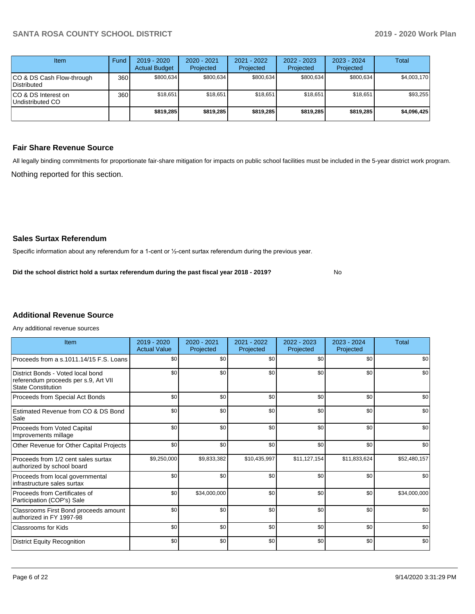| Item                                            | Fund  | $2019 - 2020$<br><b>Actual Budget</b> | $2020 - 2021$<br>Projected | $2021 - 2022$<br>Projected | $2022 - 2023$<br>Projected | $2023 - 2024$<br>Projected | Total       |
|-------------------------------------------------|-------|---------------------------------------|----------------------------|----------------------------|----------------------------|----------------------------|-------------|
| ICO & DS Cash Flow-through<br>Distributed       | 360 l | \$800.634                             | \$800,634                  | \$800.634                  | \$800,634                  | \$800.634                  | \$4,003,170 |
| ICO & DS Interest on<br><b>Undistributed CO</b> | 360   | \$18.651                              | \$18.651                   | \$18.651                   | \$18,651                   | \$18.651                   | \$93.255    |
|                                                 |       | \$819,285                             | \$819,285                  | \$819,285                  | \$819,285                  | \$819,285                  | \$4,096,425 |

# **Fair Share Revenue Source**

Nothing reported for this section. All legally binding commitments for proportionate fair-share mitigation for impacts on public school facilities must be included in the 5-year district work program.

No

#### **Sales Surtax Referendum**

Specific information about any referendum for a 1-cent or ½-cent surtax referendum during the previous year.

**Did the school district hold a surtax referendum during the past fiscal year 2018 - 2019?**

# **Additional Revenue Source**

Any additional revenue sources

| Item                                                                                                   | 2019 - 2020<br><b>Actual Value</b> | 2020 - 2021<br>Projected | 2021 - 2022<br>Projected | 2022 - 2023<br>Projected | $2023 - 2024$<br>Projected | Total        |
|--------------------------------------------------------------------------------------------------------|------------------------------------|--------------------------|--------------------------|--------------------------|----------------------------|--------------|
| Proceeds from a s.1011.14/15 F.S. Loans                                                                | \$0                                | \$0                      | \$0                      | \$0                      | \$0                        | \$0          |
| District Bonds - Voted local bond<br>referendum proceeds per s.9, Art VII<br><b>State Constitution</b> | \$0                                | \$0                      | \$0                      | \$0                      | \$0                        | \$0          |
| Proceeds from Special Act Bonds                                                                        | \$0                                | \$0                      | \$0                      | \$0                      | \$0                        | \$0          |
| Estimated Revenue from CO & DS Bond<br>Sale                                                            | \$0                                | \$0                      | \$0                      | \$0                      | \$0                        | \$0          |
| Proceeds from Voted Capital<br>Improvements millage                                                    | \$0                                | \$0                      | \$0                      | \$0                      | \$0                        | \$0          |
| Other Revenue for Other Capital Projects                                                               | \$0                                | \$0                      | \$0                      | \$0                      | \$0                        | \$0          |
| Proceeds from 1/2 cent sales surtax<br>authorized by school board                                      | \$9,250,000                        | \$9,833,382              | \$10,435,997             | \$11,127,154             | \$11,833,624               | \$52,480,157 |
| Proceeds from local governmental<br>infrastructure sales surtax                                        | \$0                                | \$0                      | \$0                      | \$0                      | \$0                        | \$0          |
| Proceeds from Certificates of<br>Participation (COP's) Sale                                            | \$0                                | \$34,000,000             | \$0                      | \$0                      | \$0                        | \$34,000,000 |
| Classrooms First Bond proceeds amount<br>authorized in FY 1997-98                                      | \$0                                | \$0                      | \$0                      | \$0                      | \$0                        | \$0          |
| <b>Classrooms for Kids</b>                                                                             | \$0                                | \$0                      | \$0                      | \$0                      | \$0                        | \$0          |
| <b>District Equity Recognition</b>                                                                     | \$0                                | \$0                      | \$0                      | \$0                      | \$0                        | \$0          |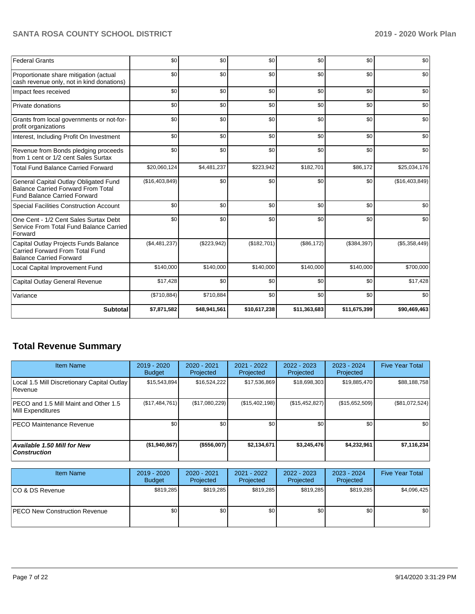| <b>Federal Grants</b>                                                                                                     | \$0            | \$0          | \$0          | \$0          | \$0          | \$0            |
|---------------------------------------------------------------------------------------------------------------------------|----------------|--------------|--------------|--------------|--------------|----------------|
| Proportionate share mitigation (actual<br>cash revenue only, not in kind donations)                                       | \$0            | \$0          | \$0          | \$0          | \$0          | \$0            |
| Impact fees received                                                                                                      | \$0            | \$0          | \$0          | \$0          | \$0          | \$0            |
| Private donations                                                                                                         | \$0            | \$0          | \$0          | \$0          | \$0          | \$0            |
| Grants from local governments or not-for-<br>profit organizations                                                         | \$0            | \$0          | \$0          | \$0          | \$0          | \$0            |
| Interest, Including Profit On Investment                                                                                  | \$0            | \$0          | \$0          | \$0          | \$0          | \$0            |
| Revenue from Bonds pledging proceeds<br>from 1 cent or 1/2 cent Sales Surtax                                              | \$0            | \$0          | \$0          | \$0          | \$0          | \$0            |
| <b>Total Fund Balance Carried Forward</b>                                                                                 | \$20,060,124   | \$4,481,237  | \$223,942    | \$182,701    | \$86,172     | \$25,034,176   |
| General Capital Outlay Obligated Fund<br><b>Balance Carried Forward From Total</b><br><b>Fund Balance Carried Forward</b> | (\$16,403,849) | \$0          | \$0          | \$0          | \$0          | (\$16,403,849) |
| <b>Special Facilities Construction Account</b>                                                                            | \$0            | \$0          | \$0          | \$0          | \$0          | \$0            |
| One Cent - 1/2 Cent Sales Surtax Debt<br>Service From Total Fund Balance Carried<br>Forward                               | \$0            | \$0          | \$0          | \$0          | \$0          | \$0            |
| Capital Outlay Projects Funds Balance<br>Carried Forward From Total Fund<br><b>Balance Carried Forward</b>                | (\$4,481,237)  | (\$223,942)  | (\$182,701)  | (\$86,172)   | (\$384,397)  | (\$5,358,449)  |
| Local Capital Improvement Fund                                                                                            | \$140,000      | \$140,000    | \$140,000    | \$140,000    | \$140,000    | \$700,000      |
| Capital Outlay General Revenue                                                                                            | \$17,428       | \$0          | \$0          | \$0          | \$0          | \$17,428       |
| Variance                                                                                                                  | (\$710,884)    | \$710,884    | \$0          | \$0          | \$0          | \$0            |
| Subtotal                                                                                                                  | \$7,871,582    | \$48,941,561 | \$10,617,238 | \$11,363,683 | \$11,675,399 | \$90,469,463   |

# **Total Revenue Summary**

| <b>Item Name</b>                                           | 2019 - 2020<br><b>Budget</b> | 2020 - 2021<br>Projected | 2021 - 2022<br>Projected | $2022 - 2023$<br>Projected | 2023 - 2024<br>Projected | <b>Five Year Total</b> |
|------------------------------------------------------------|------------------------------|--------------------------|--------------------------|----------------------------|--------------------------|------------------------|
| Local 1.5 Mill Discretionary Capital Outlay<br>Revenue     | \$15,543,894                 | \$16,524,222             | \$17,536,869             | \$18,698,303               | \$19,885,470             | \$88,188,758           |
| PECO and 1.5 Mill Maint and Other 1.5<br>Mill Expenditures | (S17, 484, 761)              | (\$17,080,229)           | (\$15,402,198)           | (\$15,452,827)             | (\$15,652,509)           | (\$81,072,524)         |
| <b>PECO Maintenance Revenue</b>                            | \$0 <sub>1</sub>             | \$0                      | \$0                      | \$0                        | \$0                      | \$0                    |
| <b>Available 1.50 Mill for New</b><br>  Construction       | (\$1,940,867)                | (\$556,007)              | \$2,134,671              | \$3,245,476                | \$4,232,961              | \$7,116,234            |

| <b>Item Name</b>                      | $2019 - 2020$<br><b>Budget</b> | 2020 - 2021<br>Projected | 2021 - 2022<br>Projected | 2022 - 2023<br>Projected | 2023 - 2024<br>Projected | <b>Five Year Total</b> |
|---------------------------------------|--------------------------------|--------------------------|--------------------------|--------------------------|--------------------------|------------------------|
| ICO & DS Revenue                      | \$819.285                      | \$819.285                | \$819.285                | \$819.285                | \$819.285                | \$4,096,425            |
| <b>IPECO New Construction Revenue</b> | \$0                            | \$0                      | \$0                      | \$0                      | \$0                      | \$0                    |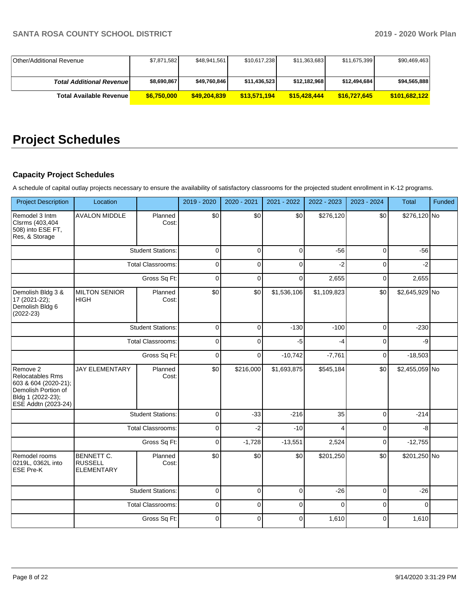| Other/Additional Revenue         | \$7,871,582 | \$48,941,561 | \$10,617,238 | \$11,363,683 | \$11,675,399 | \$90,469,463  |
|----------------------------------|-------------|--------------|--------------|--------------|--------------|---------------|
|                                  |             |              |              |              |              |               |
| <b>Total Additional Revenuel</b> | \$8,690,867 | \$49,760,846 | \$11,436,523 | \$12,182,968 | \$12,494,684 | \$94,565,888  |
| Total Available Revenue I        | \$6,750,000 | \$49,204,839 | \$13,571,194 | \$15,428,444 | \$16,727,645 | \$101.682.122 |

# **Project Schedules**

# **Capacity Project Schedules**

A schedule of capital outlay projects necessary to ensure the availability of satisfactory classrooms for the projected student enrollment in K-12 programs.

| <b>Project Description</b>                                                                                              | Location                                                 |                          | 2019 - 2020  | 2020 - 2021  | 2021 - 2022 | 2022 - 2023             | 2023 - 2024 | Total          | Funded |
|-------------------------------------------------------------------------------------------------------------------------|----------------------------------------------------------|--------------------------|--------------|--------------|-------------|-------------------------|-------------|----------------|--------|
| Remodel 3 Intm<br>Clsrms (403,404<br>508) into ESE FT,<br>Res, & Storage                                                | <b>AVALON MIDDLE</b>                                     | Planned<br>Cost:         | \$0          | \$0          | \$0         | \$276,120               | \$0         | \$276,120 No   |        |
|                                                                                                                         |                                                          | <b>Student Stations:</b> | $\mathbf 0$  | $\Omega$     | $\mathbf 0$ | $-56$                   | $\mathbf 0$ | $-56$          |        |
|                                                                                                                         |                                                          | <b>Total Classrooms:</b> | $\mathbf{0}$ | $\Omega$     | $\mathbf 0$ | $-2$                    | $\mathbf 0$ | $-2$           |        |
|                                                                                                                         |                                                          | Gross Sq Ft:             | $\mathbf 0$  | $\mathbf 0$  | $\mathbf 0$ | 2,655                   | $\mathbf 0$ | 2,655          |        |
| Demolish Bldg 3 &<br>17 (2021-22);<br>Demolish Bldg 6<br>$(2022-23)$                                                    | <b>MILTON SENIOR</b><br><b>HIGH</b>                      | Planned<br>Cost:         | \$0          | \$0          | \$1,536,106 | \$1,109,823             | \$0         | \$2,645,929 No |        |
|                                                                                                                         |                                                          | <b>Student Stations:</b> | $\mathbf 0$  | $\mathbf 0$  | $-130$      | $-100$                  | $\mathbf 0$ | $-230$         |        |
|                                                                                                                         |                                                          | <b>Total Classrooms:</b> | $\mathbf 0$  | $\Omega$     | $-5$        | $-4$                    | $\mathbf 0$ | -9             |        |
|                                                                                                                         | Gross Sq Ft:                                             |                          | $\mathbf 0$  | $\Omega$     | $-10,742$   | $-7,761$                | $\mathbf 0$ | $-18,503$      |        |
| Remove 2<br>Relocatables Rms<br>603 & 604 (2020-21);<br>Demolish Portion of<br>Bldg 1 (2022-23);<br>ESE Addtn (2023-24) | <b>JAY ELEMENTARY</b>                                    | Planned<br>Cost:         | \$0          | \$216,000    | \$1,693,875 | \$545,184               | \$0         | \$2,455,059 No |        |
|                                                                                                                         |                                                          | <b>Student Stations:</b> | $\mathbf 0$  | $-33$        | $-216$      | 35                      | $\mathbf 0$ | $-214$         |        |
|                                                                                                                         |                                                          | <b>Total Classrooms:</b> | $\mathbf 0$  | $-2$         | $-10$       | $\overline{\mathbf{4}}$ | $\mathbf 0$ | -8             |        |
|                                                                                                                         |                                                          | Gross Sq Ft:             | $\mathbf 0$  | $-1,728$     | $-13,551$   | 2,524                   | $\mathbf 0$ | $-12,755$      |        |
| Remodel rooms<br>0219L, 0362L into<br><b>ESE Pre-K</b>                                                                  | <b>BENNETT C.</b><br><b>RUSSELL</b><br><b>ELEMENTARY</b> | Planned<br>Cost:         | \$0          | \$0          | \$0         | \$201,250               | \$0         | \$201,250 No   |        |
|                                                                                                                         |                                                          | <b>Student Stations:</b> | $\mathbf 0$  | $\mathbf 0$  | $\mathbf 0$ | $-26$                   | $\mathbf 0$ | $-26$          |        |
|                                                                                                                         |                                                          | <b>Total Classrooms:</b> | $\mathbf 0$  | $\mathbf 0$  | $\mathbf 0$ | $\Omega$                | $\mathbf 0$ | $\Omega$       |        |
|                                                                                                                         |                                                          | Gross Sq Ft:             | $\mathbf 0$  | $\mathbf{0}$ | $\Omega$    | 1,610                   | $\Omega$    | 1,610          |        |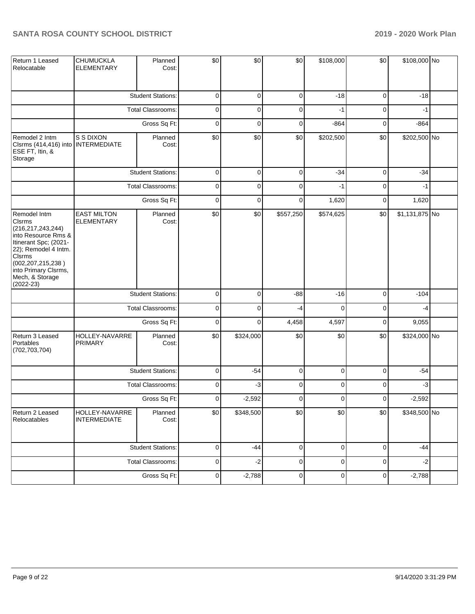| Return 1 Leased<br>Relocatable                                                                                                                                                                                              | CHUMUCKLA<br><b>ELEMENTARY</b>          | Planned<br>Cost:         | \$0         | \$0         | \$0         | \$108,000   | \$0         | \$108,000 No   |  |
|-----------------------------------------------------------------------------------------------------------------------------------------------------------------------------------------------------------------------------|-----------------------------------------|--------------------------|-------------|-------------|-------------|-------------|-------------|----------------|--|
|                                                                                                                                                                                                                             |                                         | <b>Student Stations:</b> | 0           | 0           | 0           | $-18$       | $\mathbf 0$ | $-18$          |  |
|                                                                                                                                                                                                                             |                                         | Total Classrooms:        | 0           | 0           | 0           | $-1$        | $\mathbf 0$ | -1             |  |
|                                                                                                                                                                                                                             |                                         | Gross Sq Ft:             | $\mathbf 0$ | 0           | 0           | $-864$      | $\mathbf 0$ | $-864$         |  |
| Remodel 2 Intm<br>Clsrms (414,416) into INTERMEDIATE<br>ESE FT, Itin, &<br>Storage                                                                                                                                          | S S DIXON                               | Planned<br>Cost:         | \$0         | \$0         | \$0         | \$202,500   | \$0         | \$202,500 No   |  |
|                                                                                                                                                                                                                             |                                         | <b>Student Stations:</b> | $\mathbf 0$ | $\mathbf 0$ | $\mathbf 0$ | $-34$       | $\mathbf 0$ | $-34$          |  |
|                                                                                                                                                                                                                             |                                         | <b>Total Classrooms:</b> | $\mathbf 0$ | $\mathbf 0$ | $\mathbf 0$ | $-1$        | $\mathbf 0$ | -1             |  |
|                                                                                                                                                                                                                             |                                         | Gross Sq Ft:             | $\mathbf 0$ | $\mathbf 0$ | $\mathbf 0$ | 1,620       | $\mathbf 0$ | 1,620          |  |
| Remodel Intm<br><b>Clsrms</b><br>(216, 217, 243, 244)<br>into Resource Rms &<br>Itinerant Spc; (2021-<br>22); Remodel 4 Intm.<br>Cisrms<br>(002, 207, 215, 238)<br>into Primary Clsrms,<br>Mech, & Storage<br>$(2022 - 23)$ | <b>EAST MILTON</b><br><b>ELEMENTARY</b> | Planned<br>Cost:         | \$0         | \$0         | \$557,250   | \$574,625   | \$0         | \$1,131,875 No |  |
|                                                                                                                                                                                                                             |                                         | <b>Student Stations:</b> | $\mathbf 0$ | $\mathbf 0$ | $-88$       | $-16$       | 0           | $-104$         |  |
|                                                                                                                                                                                                                             |                                         | Total Classrooms:        | $\mathbf 0$ | 0           | $-4$        | $\Omega$    | $\mathbf 0$ | -4             |  |
|                                                                                                                                                                                                                             |                                         | Gross Sq Ft:             | 0           | 0           | 4,458       | 4,597       | $\mathbf 0$ | 9,055          |  |
| Return 3 Leased<br>Portables<br>(702, 703, 704)                                                                                                                                                                             | HOLLEY-NAVARRE<br><b>PRIMARY</b>        | Planned<br>Cost:         | \$0         | \$324,000   | \$0         | \$0         | \$0         | \$324,000 No   |  |
|                                                                                                                                                                                                                             |                                         | <b>Student Stations:</b> | 0           | $-54$       | 0           | 0           | $\mathbf 0$ | $-54$          |  |
|                                                                                                                                                                                                                             |                                         | Total Classrooms:        | 0           | $-3$        | 0           | 0           | $\mathbf 0$ | $-3$           |  |
|                                                                                                                                                                                                                             |                                         | Gross Sq Ft:             | 0           | $-2,592$    | $\mathbf 0$ | $\mathbf 0$ | $\mathbf 0$ | $-2,592$       |  |
| Return 2 Leased<br>Relocatables                                                                                                                                                                                             | HOLLEY-NAVARRE<br><b>INTERMEDIATE</b>   | Planned<br>Cost:         | \$0         | \$348,500   | \$0         | \$0         | \$0         | \$348,500 No   |  |
|                                                                                                                                                                                                                             |                                         | <b>Student Stations:</b> | $\pmb{0}$   | $-44$       | $\pmb{0}$   | $\mathbf 0$ | 0           | $-44$          |  |
|                                                                                                                                                                                                                             |                                         | Total Classrooms:        | $\pmb{0}$   | $-2$        | $\pmb{0}$   | $\pmb{0}$   | $\mathbf 0$ | $-2$           |  |
|                                                                                                                                                                                                                             |                                         | Gross Sq Ft:             | $\pmb{0}$   | $-2,788$    | $\pmb{0}$   | $\pmb{0}$   | 0           | $-2,788$       |  |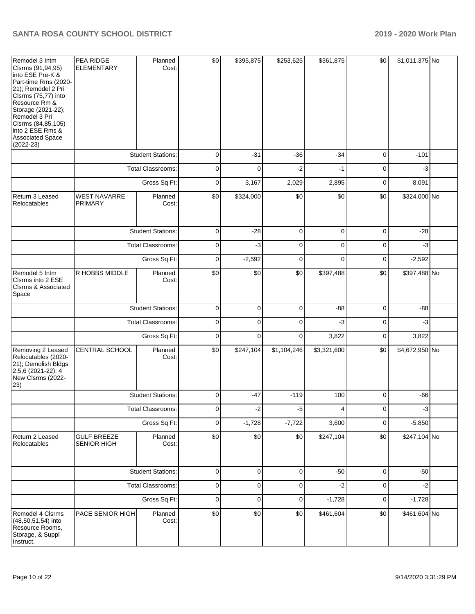| Remodel 3 Intm<br>Clsrms (91,94,95)<br>into ESE Pre-K &<br>Part-time Rms (2020-<br>21); Remodel 2 Pri<br>Clsrms (75,77) into<br>Resource Rm &<br>Storage (2021-22);<br>Remodel 3 Pri<br>Clsrms (84,85,105)<br>into 2 ESE Rms &<br>Associated Space<br>$(2022 - 23)$ | PEA RIDGE<br><b>ELEMENTARY</b>    | Planned<br>Cost:         | \$0         | \$395,875   | \$253,625   | \$361,875   | \$0         | \$1,011,375 No |  |
|---------------------------------------------------------------------------------------------------------------------------------------------------------------------------------------------------------------------------------------------------------------------|-----------------------------------|--------------------------|-------------|-------------|-------------|-------------|-------------|----------------|--|
|                                                                                                                                                                                                                                                                     |                                   | <b>Student Stations:</b> | $\mathbf 0$ | $-31$       | $-36$       | $-34$       | $\mathbf 0$ | $-101$         |  |
|                                                                                                                                                                                                                                                                     |                                   | <b>Total Classrooms:</b> | $\mathbf 0$ | $\Omega$    | $-2$        | $-1$        | $\mathbf 0$ | -3             |  |
|                                                                                                                                                                                                                                                                     |                                   | Gross Sq Ft:             | $\mathbf 0$ | 3,167       | 2,029       | 2,895       | $\mathbf 0$ | 8,091          |  |
| Return 3 Leased<br>Relocatables                                                                                                                                                                                                                                     | <b>WEST NAVARRE</b><br>PRIMARY    | Planned<br>Cost:         | \$0         | \$324,000   | \$0         | \$0         | \$0         | \$324,000 No   |  |
|                                                                                                                                                                                                                                                                     |                                   | <b>Student Stations:</b> | $\mathbf 0$ | $-28$       | $\mathbf 0$ | $\mathbf 0$ | $\mathbf 0$ | $-28$          |  |
|                                                                                                                                                                                                                                                                     |                                   | <b>Total Classrooms:</b> | $\mathbf 0$ | $-3$        | $\mathbf 0$ | $\mathbf 0$ | $\mathbf 0$ | $-3$           |  |
|                                                                                                                                                                                                                                                                     |                                   | Gross Sq Ft:             | $\mathbf 0$ | $-2,592$    | $\mathbf 0$ | $\Omega$    | $\mathbf 0$ | $-2,592$       |  |
| Remodel 5 Intm<br>Cisrms into 2 ESE<br><b>CIsrms &amp; Associated</b><br>Space                                                                                                                                                                                      | R HOBBS MIDDLE                    | Planned<br>Cost:         | \$0         | \$0         | \$0         | \$397,488   | \$0         | \$397,488 No   |  |
|                                                                                                                                                                                                                                                                     |                                   | <b>Student Stations:</b> | $\pmb{0}$   | $\mathbf 0$ | $\mathbf 0$ | $-88$       | $\mathbf 0$ | $-88$          |  |
|                                                                                                                                                                                                                                                                     |                                   | <b>Total Classrooms:</b> | $\mathbf 0$ | $\mathbf 0$ | $\mathbf 0$ | $-3$        | $\mathbf 0$ | $-3$           |  |
|                                                                                                                                                                                                                                                                     |                                   | Gross Sq Ft:             | $\mathbf 0$ | $\mathbf 0$ | $\mathbf 0$ | 3,822       | $\mathbf 0$ | 3,822          |  |
| Removing 2 Leased<br>Relocatables (2020-<br>21); Demolish Bldgs<br>2,5,6 (2021-22); 4<br>New Clsrms (2022-<br>$ 23\rangle$                                                                                                                                          | CENTRAL SCHOOL                    | Planned<br>Cost:         | \$0         | \$247,104   | \$1,104,246 | \$3,321,600 | \$0         | \$4,672,950 No |  |
|                                                                                                                                                                                                                                                                     |                                   | <b>Student Stations:</b> | $\mathbf 0$ | $-47$       | $-119$      | 100         | $\mathbf 0$ | $-66$          |  |
|                                                                                                                                                                                                                                                                     |                                   | Total Classrooms:        | 0           | $-2$        | $-5$        | 4           | 0           | $-3$           |  |
|                                                                                                                                                                                                                                                                     |                                   | Gross Sq Ft:             | $\pmb{0}$   | $-1,728$    | $-7,722$    | 3,600       | $\pmb{0}$   | $-5,850$       |  |
| Return 2 Leased<br>Relocatables                                                                                                                                                                                                                                     | <b>GULF BREEZE</b><br>SENIOR HIGH | Planned<br>Cost:         | \$0         | \$0         | \$0         | \$247,104   | \$0         | \$247,104 No   |  |
|                                                                                                                                                                                                                                                                     |                                   | <b>Student Stations:</b> | 0           | 0           | 0           | $-50$       | 0           | $-50$          |  |
|                                                                                                                                                                                                                                                                     |                                   | Total Classrooms:        | $\pmb{0}$   | 0           | 0           | $-2$        | 0           | $-2$           |  |
|                                                                                                                                                                                                                                                                     |                                   | Gross Sq Ft:             | $\pmb{0}$   | $\pmb{0}$   | 0           | $-1,728$    | 0           | $-1,728$       |  |
| Remodel 4 Clsrms<br>(48,50,51,54) into<br>Resource Rooms,<br>Storage, & Suppl<br>Instruct.                                                                                                                                                                          | PACE SENIOR HIGH                  | Planned<br>Cost:         | \$0         | \$0         | \$0         | \$461,604   | \$0         | \$461,604 No   |  |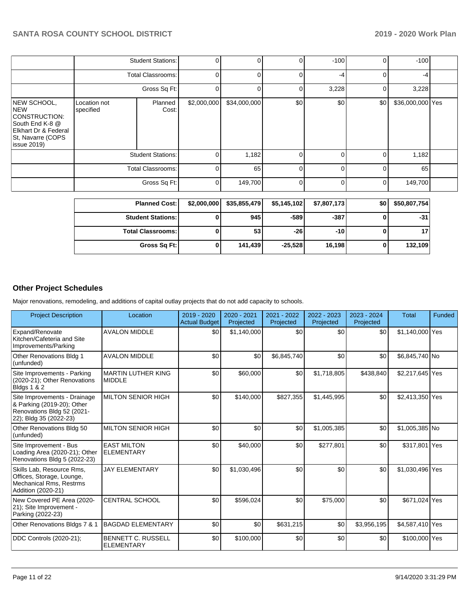|                                                                                                                    |                           | $M = 0.0000$ and $M = 0.0000$ | $\sim$ $\sim$ $\sim$ $\sim$ $\sim$ $\sim$ | 20.555       | 5.71538  | $+ - - - - - -$ |                |                  |  |
|--------------------------------------------------------------------------------------------------------------------|---------------------------|-------------------------------|-------------------------------------------|--------------|----------|-----------------|----------------|------------------|--|
|                                                                                                                    |                           | Gross Sq Ft:                  | 0                                         | 149,700      | $\Omega$ | 0               | $\overline{0}$ | 149,700          |  |
|                                                                                                                    |                           | Total Classrooms:             | 0                                         | 65           | $\Omega$ | 0               | $\Omega$       | 65               |  |
|                                                                                                                    |                           | <b>Student Stations:</b>      |                                           | 1,182        | $\Omega$ | 0               | 0              | 1,182            |  |
| NEW SCHOOL,<br>NEW<br>CONSTRUCTION:<br>South End K-8 @<br>Elkhart Dr & Federal<br>St, Navarre (COPS<br>issue 2019) | Location not<br>specified | Planned<br>Cost:              | \$2,000,000                               | \$34,000,000 | \$0      | \$0             | \$0            | \$36,000,000 Yes |  |
|                                                                                                                    |                           | Gross Sq Ft:                  |                                           |              |          | 3,228           | $\overline{0}$ | 3,228            |  |
|                                                                                                                    |                           | <b>Total Classrooms:</b>      | 0                                         | 0            | $\Omega$ | -4              | $\Omega$       | -4               |  |
|                                                                                                                    |                           | <b>Student Stations:</b>      | 0                                         | $\Omega$     | $\Omega$ | $-100$          | Οl             | $-100$           |  |

| <b>Planned Cost:</b>       | \$2,000,000 | \$35,855,479 | \$5,145,102 | \$7,807,173 | \$0 | \$50,807,754 |
|----------------------------|-------------|--------------|-------------|-------------|-----|--------------|
| <b>Student Stations: I</b> |             | 945 l        | $-589$      | $-387$      |     | -31          |
| <b>Total Classrooms:</b>   |             | 53           | -261        | $-10$       |     |              |
| Gross Sq Ft:               |             | 141.439      | $-25.528$   | 16.198      |     | 132,109      |

# **Other Project Schedules**

Major renovations, remodeling, and additions of capital outlay projects that do not add capacity to schools.

| <b>Project Description</b>                                                                                         | Location                                       | 2019 - 2020<br><b>Actual Budget</b> | 2020 - 2021<br>Projected | 2021 - 2022<br>Projected | 2022 - 2023<br>Projected | 2023 - 2024<br>Projected | <b>Total</b>    | Funded |
|--------------------------------------------------------------------------------------------------------------------|------------------------------------------------|-------------------------------------|--------------------------|--------------------------|--------------------------|--------------------------|-----------------|--------|
| Expand/Renovate<br>Kitchen/Cafeteria and Site<br>Improvements/Parking                                              | <b>AVALON MIDDLE</b>                           | \$0                                 | \$1,140,000              | \$0                      | \$0                      | \$0                      | \$1,140,000 Yes |        |
| Other Renovations Bldg 1<br>(unfunded)                                                                             | <b>AVALON MIDDLE</b>                           | \$0                                 | \$0                      | \$6.845.740              | \$0                      | \$0                      | \$6,845,740 No  |        |
| Site Improvements - Parking<br>(2020-21); Other Renovations<br><b>Bldgs 1 &amp; 2</b>                              | <b>MARTIN LUTHER KING</b><br><b>MIDDLE</b>     | \$0                                 | \$60,000                 | \$0                      | \$1,718,805              | \$438,840                | \$2,217,645 Yes |        |
| Site Improvements - Drainage<br>& Parking (2019-20); Other<br>Renovations Bldg 52 (2021-<br>22); Bldg 35 (2022-23) | <b>MILTON SENIOR HIGH</b>                      | \$0                                 | \$140,000                | \$827,355                | \$1,445,995              | \$0                      | \$2,413,350 Yes |        |
| Other Renovations Bldg 50<br>(unfunded)                                                                            | <b>MILTON SENIOR HIGH</b>                      | \$0                                 | \$0                      | \$0                      | \$1,005,385              | \$0                      | \$1,005,385 No  |        |
| Site Improvement - Bus<br>Loading Area (2020-21); Other<br>Renovations Bldg 5 (2022-23)                            | <b>EAST MILTON</b><br><b>ELEMENTARY</b>        | \$0                                 | \$40,000                 | \$0                      | \$277,801                | \$0                      | \$317,801 Yes   |        |
| Skills Lab, Resource Rms,<br>Offices, Storage, Lounge,<br>Mechanical Rms. Restrms<br>Addition (2020-21)            | <b>JAY ELEMENTARY</b>                          | \$0                                 | \$1.030.496              | \$0                      | \$0                      | \$0                      | \$1,030,496 Yes |        |
| New Covered PE Area (2020-<br>21); Site Improvement -<br>Parking (2022-23)                                         | <b>CENTRAL SCHOOL</b>                          | \$0                                 | \$596,024                | \$0                      | \$75,000                 | \$0                      | \$671,024 Yes   |        |
| Other Renovations Bldgs 7 & 1                                                                                      | <b>BAGDAD ELEMENTARY</b>                       | \$0                                 | \$0                      | \$631,215                | \$0                      | \$3,956,195              | \$4,587,410 Yes |        |
| DDC Controls (2020-21);                                                                                            | <b>BENNETT C. RUSSELL</b><br><b>ELEMENTARY</b> | \$0                                 | \$100,000                | \$0                      | \$0                      | \$0                      | \$100,000 Yes   |        |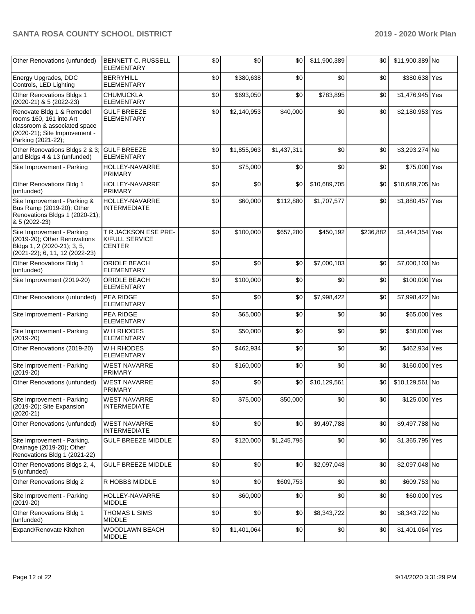| Other Renovations (unfunded)                                                                                                                | BENNETT C. RUSSELL<br><b>ELEMENTARY</b>                        | \$0 | \$0         | \$0         | \$11,900,389 | \$0       | \$11,900,389 No |  |
|---------------------------------------------------------------------------------------------------------------------------------------------|----------------------------------------------------------------|-----|-------------|-------------|--------------|-----------|-----------------|--|
| Energy Upgrades, DDC<br>Controls, LED Lighting                                                                                              | <b>BERRYHILL</b><br><b>ELEMENTARY</b>                          | \$0 | \$380,638   | \$0         | \$0          | \$0       | \$380,638 Yes   |  |
| Other Renovations Bldgs 1<br>(2020-21) & 5 (2022-23)                                                                                        | <b>CHUMUCKLA</b><br><b>ELEMENTARY</b>                          | \$0 | \$693,050   | \$0         | \$783,895    | \$0       | \$1,476,945 Yes |  |
| Renovate Bldg 1 & Remodel<br>rooms 160, 161 into Art<br>classroom & associated space<br>(2020-21); Site Improvement -<br>Parking (2021-22); | <b>GULF BREEZE</b><br>ELEMENTARY                               | \$0 | \$2,140,953 | \$40,000    | \$0          | \$0       | \$2,180,953 Yes |  |
| Other Renovations Bldgs 2 & 3;<br>and Bldgs 4 & 13 (unfunded)                                                                               | <b>GULF BREEZE</b><br><b>ELEMENTARY</b>                        | \$0 | \$1,855,963 | \$1,437,311 | \$0          | \$0       | \$3,293,274 No  |  |
| Site Improvement - Parking                                                                                                                  | <b>HOLLEY-NAVARRE</b><br><b>PRIMARY</b>                        | \$0 | \$75,000    | \$0         | \$0          | \$0       | \$75,000 Yes    |  |
| Other Renovations Bldg 1<br>(unfunded)                                                                                                      | HOLLEY-NAVARRE<br><b>PRIMARY</b>                               | \$0 | \$0         | \$0         | \$10,689,705 | \$0       | \$10,689,705 No |  |
| Site Improvement - Parking &<br>Bus Ramp (2019-20); Other<br>Renovations Bldgs 1 (2020-21);<br>& 5 (2022-23)                                | HOLLEY-NAVARRE<br><b>INTERMEDIATE</b>                          | \$0 | \$60,000    | \$112,880   | \$1,707,577  | \$0       | \$1,880,457 Yes |  |
| Site Improvement - Parking<br>(2019-20); Other Renovations<br>Bldgs 1, 2 (2020-21); 3, 5,<br>(2021-22); 6, 11, 12 (2022-23)                 | T R JACKSON ESE PRE-<br><b>K/FULL SERVICE</b><br><b>CENTER</b> | \$0 | \$100,000   | \$657,280   | \$450,192    | \$236,882 | \$1,444,354 Yes |  |
| <b>Other Renovations Bldg 1</b><br>(unfunded)                                                                                               | ORIOLE BEACH<br><b>ELEMENTARY</b>                              | \$0 | \$0         | \$0         | \$7,000,103  | \$0       | \$7,000,103 No  |  |
| Site Improvement (2019-20)                                                                                                                  | ORIOLE BEACH<br><b>ELEMENTARY</b>                              | \$0 | \$100,000   | \$0         | \$0          | \$0       | \$100,000 Yes   |  |
| Other Renovations (unfunded)                                                                                                                | <b>PEA RIDGE</b><br><b>ELEMENTARY</b>                          | \$0 | \$0         | \$0         | \$7,998,422  | \$0       | \$7,998,422 No  |  |
| Site Improvement - Parking                                                                                                                  | PEA RIDGE<br><b>ELEMENTARY</b>                                 | \$0 | \$65,000    | \$0         | \$0          | \$0       | \$65,000 Yes    |  |
| Site Improvement - Parking<br>$(2019-20)$                                                                                                   | <b>WH RHODES</b><br><b>ELEMENTARY</b>                          | \$0 | \$50,000    | \$0         | \$0          | \$0       | \$50,000 Yes    |  |
| Other Renovations (2019-20)                                                                                                                 | W H RHODES<br><b>ELEMENTARY</b>                                | \$0 | \$462,934   | \$0         | \$0          | \$0       | \$462,934 Yes   |  |
| Site Improvement - Parking<br>$(2019-20)$                                                                                                   | <b>WEST NAVARRE</b><br><b>PRIMARY</b>                          | \$0 | \$160,000   | \$0         | \$0          | \$0       | \$160,000 Yes   |  |
| Other Renovations (unfunded)                                                                                                                | <b>WEST NAVARRE</b><br><b>PRIMARY</b>                          | \$0 | \$0         | \$0         | \$10,129,561 | \$0       | \$10,129,561 No |  |
| Site Improvement - Parking<br>(2019-20); Site Expansion<br>$(2020-21)$                                                                      | <b>WEST NAVARRE</b><br><b>INTERMEDIATE</b>                     | \$0 | \$75,000    | \$50,000    | \$0          | \$0       | \$125,000 Yes   |  |
| Other Renovations (unfunded)                                                                                                                | <b>WEST NAVARRE</b><br><b>INTERMEDIATE</b>                     | \$0 | \$0         | \$0         | \$9,497,788  | \$0       | \$9,497,788 No  |  |
| Site Improvement - Parking,<br>Drainage (2019-20); Other<br>Renovations Bldg 1 (2021-22)                                                    | <b>GULF BREEZE MIDDLE</b>                                      | \$0 | \$120,000   | \$1,245,795 | \$0          | \$0       | \$1,365,795 Yes |  |
| Other Renovations Bldgs 2, 4,<br>5 (unfunded)                                                                                               | <b>GULF BREEZE MIDDLE</b>                                      | \$0 | \$0         | \$0         | \$2,097,048  | \$0       | \$2,097,048 No  |  |
| Other Renovations Bldg 2                                                                                                                    | R HOBBS MIDDLE                                                 | \$0 | \$0         | \$609,753   | \$0          | \$0       | \$609,753 No    |  |
| Site Improvement - Parking<br>$(2019-20)$                                                                                                   | HOLLEY-NAVARRE<br><b>MIDDLE</b>                                | \$0 | \$60,000    | \$0         | \$0          | \$0       | \$60,000 Yes    |  |
| Other Renovations Bldg 1<br>(unfunded)                                                                                                      | <b>THOMAS L SIMS</b><br><b>MIDDLE</b>                          | \$0 | \$0         | \$0         | \$8,343,722  | \$0       | \$8,343,722 No  |  |
| Expand/Renovate Kitchen                                                                                                                     | WOODLAWN BEACH<br><b>MIDDLE</b>                                | \$0 | \$1,401,064 | \$0         | \$0          | \$0       | \$1,401,064 Yes |  |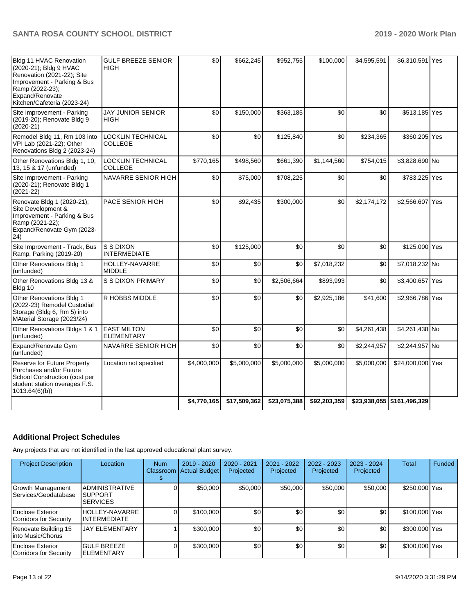| Bldg 11 HVAC Renovation<br>(2020-21); Bldg 9 HVAC<br>Renovation (2021-22); Site<br>Improvement - Parking & Bus<br>Ramp (2022-23);<br>Expand/Renovate<br>Kitchen/Cafeteria (2023-24) | <b>GULF BREEZE SENIOR</b><br><b>HIGH</b>   | \$0         | \$662,245    | \$952,755    | \$100,000    | \$4,595,591 | \$6,310,591 Yes              |  |
|-------------------------------------------------------------------------------------------------------------------------------------------------------------------------------------|--------------------------------------------|-------------|--------------|--------------|--------------|-------------|------------------------------|--|
| Site Improvement - Parking<br>(2019-20); Renovate Bldg 9<br>$(2020-21)$                                                                                                             | <b>JAY JUNIOR SENIOR</b><br>HIGH           | \$0         | \$150,000    | \$363,185    | \$0          | \$0         | \$513,185 Yes                |  |
| Remodel Bldg 11, Rm 103 into<br>VPI Lab (2021-22); Other<br>Renovations Bldg 2 (2023-24)                                                                                            | <b>LOCKLIN TECHNICAL</b><br><b>COLLEGE</b> | \$0         | \$0          | \$125,840    | \$0          | \$234,365   | \$360,205 Yes                |  |
| Other Renovations Bldg 1, 10,<br>13, 15 & 17 (unfunded)                                                                                                                             | <b>LOCKLIN TECHNICAL</b><br><b>COLLEGE</b> | \$770,165   | \$498,560    | \$661,390    | \$1,144,560  | \$754,015   | \$3,828,690 No               |  |
| Site Improvement - Parking<br>(2020-21); Renovate Bldg 1<br>$(2021 - 22)$                                                                                                           | NAVARRE SENIOR HIGH                        | \$0         | \$75,000     | \$708,225    | \$0          | \$0         | \$783,225 Yes                |  |
| Renovate Bldg 1 (2020-21);<br>Site Development &<br>Improvement - Parking & Bus<br>Ramp (2021-22);<br>Expand/Renovate Gym (2023-<br>$ 24\rangle$                                    | PACE SENIOR HIGH                           | \$0         | \$92,435     | \$300,000    | \$0          | \$2,174,172 | \$2,566,607 Yes              |  |
| Site Improvement - Track, Bus<br>Ramp, Parking (2019-20)                                                                                                                            | S S DIXON<br><b>INTERMEDIATE</b>           | \$0         | \$125,000    | \$0          | \$0          | \$0         | \$125,000 Yes                |  |
| Other Renovations Bldg 1<br>(unfunded)                                                                                                                                              | HOLLEY-NAVARRE<br><b>MIDDLE</b>            | \$0         | \$0          | \$0          | \$7,018,232  | \$0         | \$7,018,232 No               |  |
| Other Renovations Bldg 13 &<br>Bldg 10                                                                                                                                              | <b>S S DIXON PRIMARY</b>                   | \$0         | \$0          | \$2,506,664  | \$893,993    | \$0         | \$3,400,657 Yes              |  |
| Other Renovations Bldg 1<br>(2022-23) Remodel Custodial<br>Storage (Bldg 6, Rm 5) into<br>MAterial Storage (2023/24)                                                                | R HOBBS MIDDLE                             | \$0         | \$0          | \$0          | \$2,925,186  | \$41,600    | \$2,966,786 Yes              |  |
| Other Renovations Bldgs 1 & 1<br>(unfunded)                                                                                                                                         | <b>EAST MILTON</b><br>ELEMENTARY           | \$0         | \$0          | \$0          | \$0          | \$4,261,438 | \$4,261,438 No               |  |
| Expand/Renovate Gym<br>(unfunded)                                                                                                                                                   | NAVARRE SENIOR HIGH                        | \$0         | \$0          | \$0          | \$0          | \$2,244,957 | \$2,244,957 No               |  |
| Reserve for Future Property<br>Purchases and/or Future<br>School Construction (cost per<br>student station overages F.S.<br>1013.64(6)(b)                                           | Location not specified                     | \$4,000,000 | \$5,000,000  | \$5,000,000  | \$5,000,000  | \$5,000,000 | \$24,000,000 Yes             |  |
|                                                                                                                                                                                     |                                            | \$4,770,165 | \$17,509,362 | \$23,075,388 | \$92,203,359 |             | \$23,938,055   \$161,496,329 |  |

# **Additional Project Schedules**

Any projects that are not identified in the last approved educational plant survey.

| <b>Project Description</b>                 | Location                                                    | <b>Num</b> | 2019 - 2020<br>Classroom Actual Budget | 2020 - 2021<br>Projected | $2021 - 2022$<br>Projected | 2022 - 2023<br>Projected | 2023 - 2024<br>Projected | Total         | Funded |
|--------------------------------------------|-------------------------------------------------------------|------------|----------------------------------------|--------------------------|----------------------------|--------------------------|--------------------------|---------------|--------|
| Growth Management<br>Services/Geodatabase  | <b>ADMINISTRATIVE</b><br><b>ISUPPORT</b><br><b>SERVICES</b> |            | \$50,000                               | \$50,000                 | \$50,000                   | \$50,000                 | \$50,000                 | \$250,000 Yes |        |
| Enclose Exterior<br>Corridors for Security | HOLLEY-NAVARRE<br>INTERMEDIATE                              |            | \$100,000                              | \$0                      | \$0 <sub>1</sub>           | \$0                      | \$0                      | \$100,000 Yes |        |
| Renovate Building 15<br>linto Music/Chorus | <b>JAY ELEMENTARY</b>                                       |            | \$300,000                              | \$0                      | \$0                        | \$0                      | \$0                      | \$300,000 Yes |        |
| Enclose Exterior<br>Corridors for Security | <b>GULF BREEZE</b><br><b>IELEMENTARY</b>                    |            | \$300,000                              | \$0                      | \$0                        | \$0                      | \$0                      | \$300,000 Yes |        |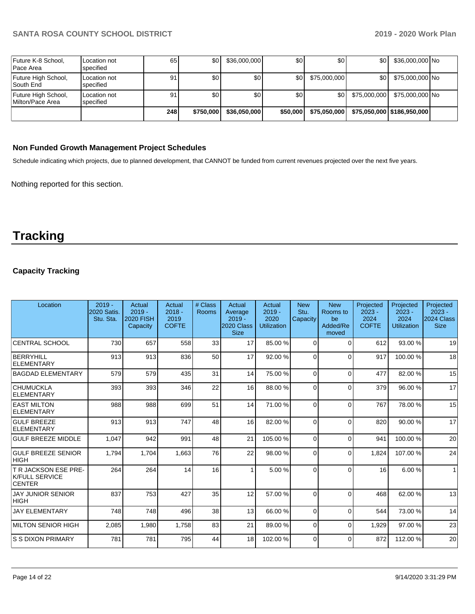| Future K-8 School,<br>Pace Area         | Location not<br>specified | 65  | \$0 <sub>1</sub> | \$36,000,000     | \$0      | \$0          | \$0 I        | \$36,000,000 No            |  |
|-----------------------------------------|---------------------------|-----|------------------|------------------|----------|--------------|--------------|----------------------------|--|
| Future High School,<br>South End        | Location not<br>specified | 91  | \$0              | \$0 <sub>1</sub> | \$0 I    | \$75,000,000 | \$0 I        | \$75,000,000 No            |  |
| Future High School,<br>Milton/Pace Area | Location not<br>specified | 91  | \$0              | \$0              | \$0      | \$0          | \$75,000,000 | \$75,000,000 No            |  |
|                                         |                           | 248 | \$750,000        | \$36,050,000     | \$50,000 | \$75,050,000 |              | \$75,050,000 \$186,950,000 |  |

## **Non Funded Growth Management Project Schedules**

Schedule indicating which projects, due to planned development, that CANNOT be funded from current revenues projected over the next five years.

Nothing reported for this section.

# **Tracking**

# **Capacity Tracking**

| Location                                                       | $2019 -$<br>2020 Satis.<br>Stu. Sta. | Actual<br>$2019 -$<br><b>2020 FISH</b><br>Capacity | Actual<br>$2018 -$<br>2019<br><b>COFTE</b> | # Class<br>Rooms | Actual<br>Average<br>$2019 -$<br>2020 Class<br><b>Size</b> | Actual<br>$2019 -$<br>2020<br>Utilization | <b>New</b><br>Stu.<br>Capacity | <b>New</b><br>Rooms to<br>be<br>Added/Re<br>moved | Projected<br>$2023 -$<br>2024<br><b>COFTE</b> | Projected<br>$2023 -$<br>2024<br>Utilization | Projected<br>$2023 -$<br>2024 Class<br><b>Size</b> |
|----------------------------------------------------------------|--------------------------------------|----------------------------------------------------|--------------------------------------------|------------------|------------------------------------------------------------|-------------------------------------------|--------------------------------|---------------------------------------------------|-----------------------------------------------|----------------------------------------------|----------------------------------------------------|
| <b>CENTRAL SCHOOL</b>                                          | 730                                  | 657                                                | 558                                        | 33               | 17                                                         | 85.00 %                                   | $\Omega$                       | $\Omega$                                          | 612                                           | 93.00 %                                      | 19                                                 |
| BERRYHILL<br>ELEMENTARY                                        | 913                                  | 913                                                | 836                                        | 50               | 17                                                         | 92.00 %                                   | $\Omega$                       | $\Omega$                                          | 917                                           | 100.00%                                      | 18                                                 |
| <b>BAGDAD ELEMENTARY</b>                                       | 579                                  | 579                                                | 435                                        | 31               | 14                                                         | 75.00 %                                   | $\Omega$                       | $\Omega$                                          | 477                                           | 82.00 %                                      | 15                                                 |
| <b>CHUMUCKLA</b><br>ELEMENTARY                                 | 393                                  | 393                                                | 346                                        | 22               | 16 <sup>1</sup>                                            | 88.00 %                                   | $\Omega$                       | $\Omega$                                          | 379                                           | 96.00 %                                      | 17                                                 |
| <b>EAST MILTON</b><br>ELEMENTARY                               | 988                                  | 988                                                | 699                                        | 51               | 14                                                         | 71.00 %                                   | $\Omega$                       | $\Omega$                                          | 767                                           | 78.00 %                                      | 15                                                 |
| <b>GULF BREEZE</b><br>ELEMENTARY                               | 913                                  | 913                                                | 747                                        | 48               | 16                                                         | 82.00%                                    | $\Omega$                       | $\Omega$                                          | 820                                           | 90.00 %                                      | 17                                                 |
| <b>GULF BREEZE MIDDLE</b>                                      | 1,047                                | 942                                                | 991                                        | 48               | 21                                                         | 105.00%                                   | $\Omega$                       | $\Omega$                                          | 941                                           | 100.00%                                      | 20                                                 |
| <b>GULF BREEZE SENIOR</b><br> HIGH                             | 1,794                                | 1,704                                              | 1,663                                      | 76               | 22                                                         | 98.00 %                                   | $\Omega$                       | $\Omega$                                          | 1,824                                         | 107.00%                                      | 24                                                 |
| T R JACKSON ESE PRE-<br><b>K/FULL SERVICE</b><br><b>CENTER</b> | 264                                  | 264                                                | 14                                         | 16               |                                                            | 5.00 %                                    | $\Omega$                       | $\Omega$                                          | 16                                            | 6.00 %                                       | $\mathbf{1}$                                       |
| <b>JAY JUNIOR SENIOR</b><br> HIGH                              | 837                                  | 753                                                | 427                                        | 35               | 12                                                         | 57.00 %                                   | $\Omega$                       | $\Omega$                                          | 468                                           | 62.00 %                                      | 13                                                 |
| <b>JAY ELEMENTARY</b>                                          | 748                                  | 748                                                | 496                                        | 38               | 13                                                         | 66.00 %                                   | $\Omega$                       | $\Omega$                                          | 544                                           | 73.00 %                                      | 14                                                 |
| MILTON SENIOR HIGH                                             | 2,085                                | 1,980                                              | 1,758                                      | 83               | 21                                                         | 89.00 %                                   | $\Omega$                       | $\Omega$                                          | 1,929                                         | 97.00 %                                      | 23                                                 |
| S S DIXON PRIMARY                                              | 781                                  | 781                                                | 795                                        | 44               | 18                                                         | 102.00%                                   | $\Omega$                       | $\Omega$                                          | 872                                           | 112.00%                                      | 20                                                 |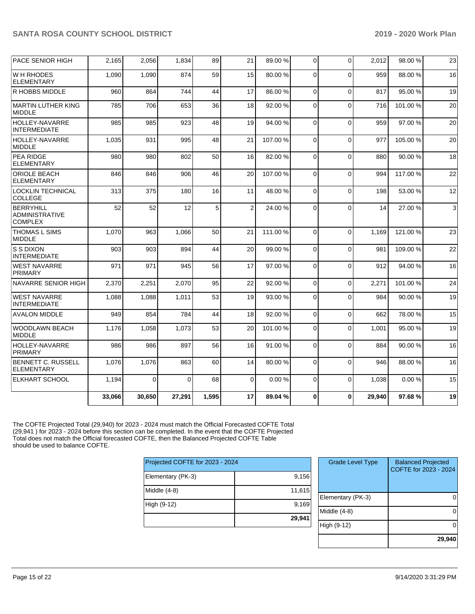| <b>PACE SENIOR HIGH</b>                              | 2,165  | 2,056    | 1,834    | 89    | 21             | 89.00 % | 0           | $\Omega$ | 2,012  | 98.00 % | 23 |
|------------------------------------------------------|--------|----------|----------|-------|----------------|---------|-------------|----------|--------|---------|----|
| W H RHODES<br><b>ELEMENTARY</b>                      | 1,090  | 1,090    | 874      | 59    | 15             | 80.00 % | 0           | $\Omega$ | 959    | 88.00 % | 16 |
| R HOBBS MIDDLE                                       | 960    | 864      | 744      | 44    | 17             | 86.00 % | $\mathbf 0$ | $\Omega$ | 817    | 95.00 % | 19 |
| IMARTIN LUTHER KING<br><b>MIDDLE</b>                 | 785    | 706      | 653      | 36    | 18             | 92.00 % | 0           | $\Omega$ | 716    | 101.00% | 20 |
| <b>HOLLEY-NAVARRE</b><br><b>INTERMEDIATE</b>         | 985    | 985      | 923      | 48    | 19             | 94.00 % | $\mathbf 0$ | $\Omega$ | 959    | 97.00 % | 20 |
| <b>HOLLEY-NAVARRE</b><br>MIDDLE                      | 1,035  | 931      | 995      | 48    | 21             | 107.00% | $\Omega$    | $\Omega$ | 977    | 105.00% | 20 |
| <b>PEA RIDGE</b><br><b>ELEMENTARY</b>                | 980    | 980      | 802      | 50    | 16             | 82.00 % | $\Omega$    | $\Omega$ | 880    | 90.00%  | 18 |
| ORIOLE BEACH<br><b>ELEMENTARY</b>                    | 846    | 846      | 906      | 46    | 20             | 107.00% | $\mathbf 0$ | $\Omega$ | 994    | 117.00% | 22 |
| <b>LOCKLIN TECHNICAL</b><br><b>COLLEGE</b>           | 313    | 375      | 180      | 16    | 11             | 48.00 % | $\Omega$    | $\Omega$ | 198    | 53.00 % | 12 |
| BERRYHILL<br><b>ADMINISTRATIVE</b><br><b>COMPLEX</b> | 52     | 52       | 12       | 5     | $\overline{2}$ | 24.00 % | 0           | $\Omega$ | 14     | 27.00 % | 3  |
| <b>THOMAS L SIMS</b><br><b>MIDDLE</b>                | 1,070  | 963      | 1,066    | 50    | 21             | 111.00% | $\Omega$    | $\Omega$ | 1.169  | 121.00% | 23 |
| ls s dixon<br><b>INTERMEDIATE</b>                    | 903    | 903      | 894      | 44    | 20             | 99.00 % | $\Omega$    | $\Omega$ | 981    | 109.00% | 22 |
| <b>WEST NAVARRE</b><br><b>PRIMARY</b>                | 971    | 971      | 945      | 56    | 17             | 97.00 % | 0           | $\Omega$ | 912    | 94.00 % | 16 |
| NAVARRE SENIOR HIGH                                  | 2,370  | 2,251    | 2.070    | 95    | 22             | 92.00%  | $\Omega$    | $\Omega$ | 2.271  | 101.00% | 24 |
| <b>WEST NAVARRE</b><br><b>INTERMEDIATE</b>           | 1,088  | 1,088    | 1,011    | 53    | 19             | 93.00 % | $\mathbf 0$ | $\Omega$ | 984    | 90.00 % | 19 |
| <b>AVALON MIDDLE</b>                                 | 949    | 854      | 784      | 44    | 18             | 92.00 % | $\mathbf 0$ | $\Omega$ | 662    | 78.00 % | 15 |
| <b>WOODLAWN BEACH</b><br><b>MIDDLE</b>               | 1,176  | 1,058    | 1,073    | 53    | 20             | 101.00% | 0           | $\Omega$ | 1,001  | 95.00 % | 19 |
| <b>HOLLEY-NAVARRE</b><br><b>PRIMARY</b>              | 986    | 986      | 897      | 56    | 16             | 91.00 % | $\Omega$    | $\Omega$ | 884    | 90.00 % | 16 |
| BENNETT C. RUSSELL<br><b>ELEMENTARY</b>              | 1,076  | 1,076    | 863      | 60    | 14             | 80.00 % | $\Omega$    | $\Omega$ | 946    | 88.00 % | 16 |
| <b>ELKHART SCHOOL</b>                                | 1,194  | $\Omega$ | $\Omega$ | 68    | 0              | 0.00%   | $\Omega$    | $\Omega$ | 1.038  | 0.00%   | 15 |
|                                                      | 33,066 | 30,650   | 27,291   | 1,595 | 17             | 89.04%  | 0           | $\Omega$ | 29,940 | 97.68%  | 19 |

The COFTE Projected Total (29,940) for 2023 - 2024 must match the Official Forecasted COFTE Total (29,941 ) for 2023 - 2024 before this section can be completed. In the event that the COFTE Projected Total does not match the Official forecasted COFTE, then the Balanced Projected COFTE Table should be used to balance COFTE.

| Projected COFTE for 2023 - 2024 |
|---------------------------------|
| 9,156                           |
| 11,615                          |
| 9,169                           |
| 29,941                          |
|                                 |

| <b>Grade Level Type</b> | <b>Balanced Projected</b><br>COFTE for 2023 - 2024 |
|-------------------------|----------------------------------------------------|
| Elementary (PK-3)       |                                                    |
| Middle (4-8)            |                                                    |
| High (9-12)             |                                                    |
|                         | 29,940                                             |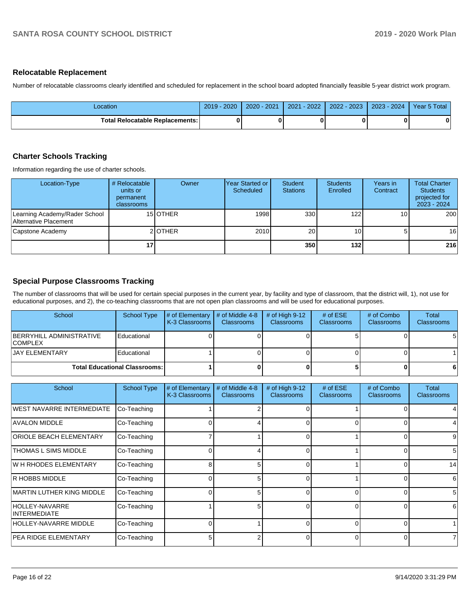#### **Relocatable Replacement**

Number of relocatable classrooms clearly identified and scheduled for replacement in the school board adopted financially feasible 5-year district work program.

| _ocation                        | 2019 - 2020 | $2020 - 2021$ | $2021 - 2022$ | 2022 - 2023 | 2023 - 2024 | Year 5 Total |
|---------------------------------|-------------|---------------|---------------|-------------|-------------|--------------|
| Total Relocatable Replacements: |             |               |               |             |             | 0            |

#### **Charter Schools Tracking**

Information regarding the use of charter schools.

| Location-Type                                          | # Relocatable<br>units or<br>permanent<br>classrooms | Owner    | lYear Started or<br>Scheduled | Student<br><b>Stations</b> | <b>Students</b><br>Enrolled | Years in<br>Contract | <b>Total Charter</b><br><b>Students</b><br>projected for<br>2023 - 2024 |
|--------------------------------------------------------|------------------------------------------------------|----------|-------------------------------|----------------------------|-----------------------------|----------------------|-------------------------------------------------------------------------|
| Learning Academy/Rader School<br>Alternative Placement |                                                      | 15 OTHER | 1998                          | 330                        | 122                         | 10 <sub>1</sub>      | 200                                                                     |
| Capstone Academy                                       |                                                      | 2 OTHER  | 2010                          | 20                         | 10 I                        | 51                   | 16                                                                      |
|                                                        | 17                                                   |          |                               | 350                        | 132                         |                      | 216                                                                     |

# **Special Purpose Classrooms Tracking**

The number of classrooms that will be used for certain special purposes in the current year, by facility and type of classroom, that the district will, 1), not use for educational purposes, and 2), the co-teaching classrooms that are not open plan classrooms and will be used for educational purposes.

| School                                            | School Type                          | $\sharp$ of Elementary $\sharp$ of Middle 4-8<br><b>K-3 Classrooms</b> | <b>Classrooms</b> | # of High $9-12$<br><b>Classrooms</b> | # of $ESE$<br><b>Classrooms</b> | # of Combo<br><b>Classrooms</b> | Total<br><b>Classrooms</b> |
|---------------------------------------------------|--------------------------------------|------------------------------------------------------------------------|-------------------|---------------------------------------|---------------------------------|---------------------------------|----------------------------|
| <b>BERRYHILL ADMINISTRATIVE</b><br><b>COMPLEX</b> | Educational                          |                                                                        |                   |                                       |                                 |                                 | 51                         |
| <b>JAY ELEMENTARY</b>                             | Educational                          |                                                                        |                   |                                       |                                 |                                 |                            |
|                                                   | <b>Total Educational Classrooms:</b> |                                                                        |                   |                                       |                                 |                                 | 61                         |

| School                                | <b>School Type</b> | # of Elementary<br>K-3 Classrooms | # of Middle 4-8<br><b>Classrooms</b> | # of High 9-12<br>Classrooms | # of $ESE$<br><b>Classrooms</b> | # of Combo<br><b>Classrooms</b> | Total<br><b>Classrooms</b> |
|---------------------------------------|--------------------|-----------------------------------|--------------------------------------|------------------------------|---------------------------------|---------------------------------|----------------------------|
| <b>WEST NAVARRE INTERMEDIATE</b>      | Co-Teaching        |                                   |                                      |                              |                                 |                                 |                            |
| <b>AVALON MIDDLE</b>                  | Co-Teaching        |                                   |                                      | 0                            |                                 |                                 |                            |
| <b>ORIOLE BEACH ELEMENTARY</b>        | Co-Teaching        |                                   |                                      | 0                            |                                 |                                 | 9                          |
| THOMAS L SIMS MIDDLE                  | Co-Teaching        |                                   | 4                                    | $\Omega$                     |                                 | ი                               | 5                          |
| IW H RHODES ELEMENTARY                | Co-Teaching        | 8                                 | 5                                    | 0                            |                                 | O                               | 14                         |
| IR HOBBS MIDDLE                       | Co-Teaching        |                                   | 5                                    | 0                            |                                 | O                               | 6                          |
| MARTIN LUTHER KING MIDDLE             | Co-Teaching        |                                   | 5                                    | $\Omega$                     | <sup>0</sup>                    | $\Omega$                        | 5                          |
| HOLLEY-NAVARRE<br><b>INTERMEDIATE</b> | Co-Teaching        |                                   | 5                                    |                              |                                 |                                 | 6                          |
| <b>HOLLEY-NAVARRE MIDDLE</b>          | Co-Teaching        |                                   |                                      | O                            | $\Omega$                        | n                               |                            |
| <b>PEA RIDGE ELEMENTARY</b>           | Co-Teaching        |                                   | 2                                    | ∩                            | 0                               |                                 | 7                          |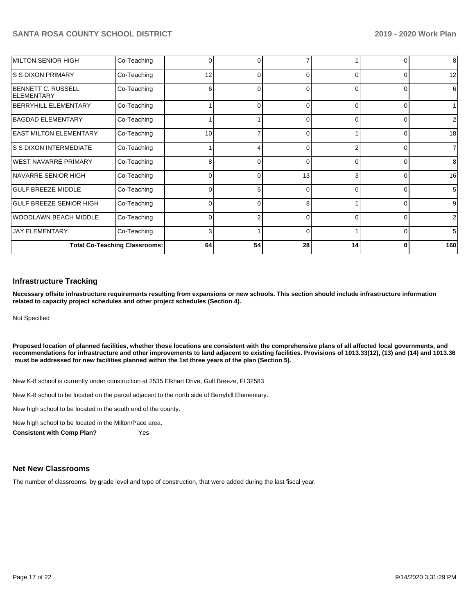| MILTON SENIOR HIGH                      | Co-Teaching                          | 0  |          |          |          | 0        | 8              |
|-----------------------------------------|--------------------------------------|----|----------|----------|----------|----------|----------------|
| IS S DIXON PRIMARY                      | Co-Teaching                          | 12 | 0        |          | $\Omega$ | $\Omega$ | 12             |
| BENNETT C. RUSSELL<br><b>ELEMENTARY</b> | Co-Teaching                          | 6  | 0        | $\Omega$ | $\Omega$ | $\Omega$ | 6              |
| BERRYHILL ELEMENTARY                    | Co-Teaching                          |    | ∩        | ∩        | $\Omega$ | $\Omega$ |                |
| BAGDAD ELEMENTARY                       | Co-Teaching                          |    |          | 0        | $\Omega$ | $\Omega$ | 2              |
| <b>EAST MILTON ELEMENTARY</b>           | Co-Teaching                          | 10 |          | 0        |          | 0        | 18             |
| <b>S S DIXON INTERMEDIATE</b>           | Co-Teaching                          |    |          |          | c        | $\Omega$ | $\overline{7}$ |
| <b>WEST NAVARRE PRIMARY</b>             | Co-Teaching                          | 8  | $\Omega$ | 0        | $\Omega$ | $\Omega$ | 8              |
| NAVARRE SENIOR HIGH                     | Co-Teaching                          | 0  | ŋ        | 13       | 3        | $\Omega$ | 16             |
| <b>GULF BREEZE MIDDLE</b>               | Co-Teaching                          | ∩  | 5        | O        | $\Omega$ | $\Omega$ | 5              |
| <b>GULF BREEZE SENIOR HIGH</b>          | Co-Teaching                          | 0  | $\Omega$ | 8        |          | $\Omega$ | 9              |
| WOODLAWN BEACH MIDDLE                   | Co-Teaching                          | 0  |          |          | $\Omega$ | $\Omega$ | 2              |
| <b>JAY ELEMENTARY</b>                   | Co-Teaching                          | ٩  |          | ∩        |          | $\Omega$ | 5              |
|                                         | <b>Total Co-Teaching Classrooms:</b> | 64 | 54       | 28       | 14       | 0        | 160            |

#### **Infrastructure Tracking**

**Necessary offsite infrastructure requirements resulting from expansions or new schools. This section should include infrastructure information related to capacity project schedules and other project schedules (Section 4).** 

Not Specified

**Proposed location of planned facilities, whether those locations are consistent with the comprehensive plans of all affected local governments, and recommendations for infrastructure and other improvements to land adjacent to existing facilities. Provisions of 1013.33(12), (13) and (14) and 1013.36 must be addressed for new facilities planned within the 1st three years of the plan (Section 5).** 

New K-8 school is currently under construction at 2535 Elkhart Drive, Gulf Breeze, Fl 32583

New K-8 school to be located on the parcel adjacent to the north side of Berryhill Elementary.

New high school to be located in the south end of the county.

New high school to be located in the Milton/Pace area.

**Consistent with Comp Plan?** Yes

#### **Net New Classrooms**

The number of classrooms, by grade level and type of construction, that were added during the last fiscal year.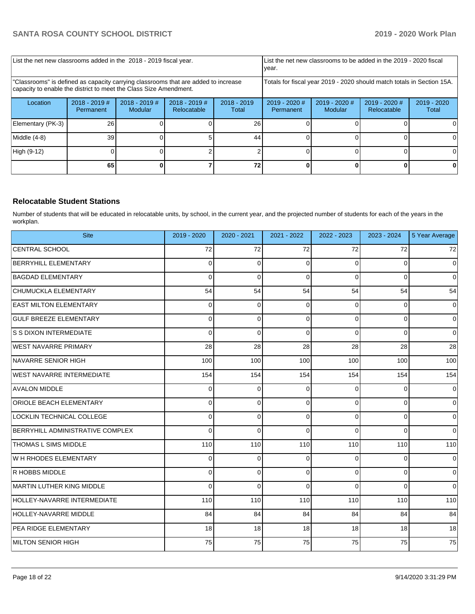| List the net new classrooms added in the 2018 - 2019 fiscal year.                                                                                       |                              |                            | year.                          |                        | List the net new classrooms to be added in the 2019 - 2020 fiscal                            |  |  |                        |
|---------------------------------------------------------------------------------------------------------------------------------------------------------|------------------------------|----------------------------|--------------------------------|------------------------|----------------------------------------------------------------------------------------------|--|--|------------------------|
| "Classrooms" is defined as capacity carrying classrooms that are added to increase<br>capacity to enable the district to meet the Class Size Amendment. |                              |                            |                                |                        | Totals for fiscal year 2019 - 2020 should match totals in Section 15A.                       |  |  |                        |
| Location                                                                                                                                                | $2018 - 2019$ #<br>Permanent | $2018 - 2019$ #<br>Modular | $2018 - 2019$ #<br>Relocatable | $2018 - 2019$<br>Total | $2019 - 2020$ #<br>$2019 - 2020$ #<br>$2019 - 2020$ #<br>Relocatable<br>Modular<br>Permanent |  |  | $2019 - 2020$<br>Total |
| Elementary (PK-3)                                                                                                                                       | 26                           |                            |                                | 26                     |                                                                                              |  |  |                        |
| Middle (4-8)                                                                                                                                            | 39                           |                            |                                | 44                     |                                                                                              |  |  |                        |
| High (9-12)                                                                                                                                             |                              |                            |                                |                        |                                                                                              |  |  | ΩI                     |
|                                                                                                                                                         | 65                           |                            |                                |                        |                                                                                              |  |  |                        |

### **Relocatable Student Stations**

Number of students that will be educated in relocatable units, by school, in the current year, and the projected number of students for each of the years in the workplan.

| <b>Site</b>                             | 2019 - 2020 | 2020 - 2021 | 2021 - 2022 | 2022 - 2023 | 2023 - 2024    | 5 Year Average |
|-----------------------------------------|-------------|-------------|-------------|-------------|----------------|----------------|
| <b>CENTRAL SCHOOL</b>                   | 72          | 72          | 72          | 72          | 72             | 72             |
| <b>BERRYHILL ELEMENTARY</b>             | 0           | 0           | $\Omega$    | 0           | 0              | $\mathbf 0$    |
| <b>BAGDAD ELEMENTARY</b>                | 0           | $\Omega$    | $\Omega$    | $\Omega$    | 0              | $\Omega$       |
| CHUMUCKLA ELEMENTARY                    | 54          | 54          | 54          | 54          | 54             | 54             |
| <b>EAST MILTON ELEMENTARY</b>           | 0           | $\Omega$    | $\Omega$    | $\Omega$    | $\Omega$       | $\mathbf 0$    |
| <b>GULF BREEZE ELEMENTARY</b>           | 0           | 0           | $\Omega$    | $\Omega$    | 0              | $\mathbf 0$    |
| <b>S S DIXON INTERMEDIATE</b>           | $\Omega$    | $\Omega$    | $\Omega$    | $\Omega$    | $\Omega$       | $\mathbf 0$    |
| <b>WEST NAVARRE PRIMARY</b>             | 28          | 28          | 28          | 28          | 28             | 28             |
| NAVARRE SENIOR HIGH                     | 100         | 100         | 100         | 100         | 100            | 100            |
| WEST NAVARRE INTERMEDIATE               | 154         | 154         | 154         | 154         | 154            | 154            |
| <b>AVALON MIDDLE</b>                    | 0           | $\Omega$    | $\Omega$    | 0           | 0              | $\Omega$       |
| ORIOLE BEACH ELEMENTARY                 | 0           | 0           | $\Omega$    | $\mathbf 0$ | 0              | $\mathbf 0$    |
| LOCKLIN TECHNICAL COLLEGE               | 0           | $\Omega$    | $\Omega$    | $\Omega$    | $\Omega$       | $\mathbf 0$    |
| <b>BERRYHILL ADMINISTRATIVE COMPLEX</b> | 0           | $\Omega$    | $\Omega$    | $\Omega$    | $\Omega$       | $\mathbf 0$    |
| <b>THOMAS L SIMS MIDDLE</b>             | 110         | 110         | 110         | 110         | 110            | 110            |
| W H RHODES ELEMENTARY                   | 0           | $\Omega$    | $\Omega$    | 0           | $\Omega$       | $\Omega$       |
| R HOBBS MIDDLE                          | 0           | 0           | $\Omega$    | $\Omega$    | 0              | $\mathbf 0$    |
| MARTIN LUTHER KING MIDDLE               | 0           | $\Omega$    | $\Omega$    | $\Omega$    | $\overline{0}$ | $\mathbf 0$    |
| HOLLEY-NAVARRE INTERMEDIATE             | 110         | 110         | 110         | 110         | 110            | 110            |
| <b>HOLLEY-NAVARRE MIDDLE</b>            | 84          | 84          | 84          | 84          | 84             | 84             |
| PEA RIDGE ELEMENTARY                    | 18          | 18          | 18          | 18          | 18             | 18             |
| MILTON SENIOR HIGH                      | 75          | 75          | 75          | 75          | 75             | 75             |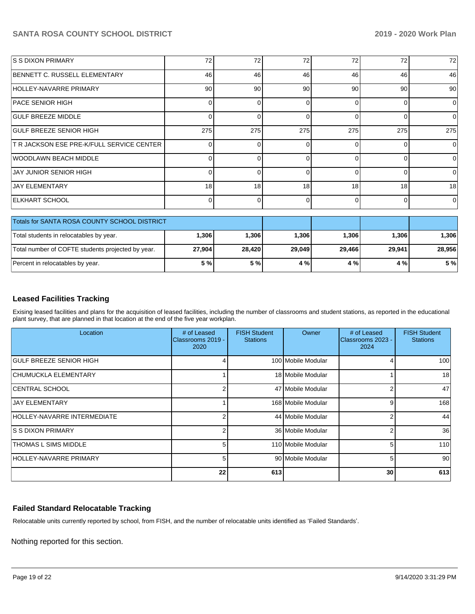| <b>S S DIXON PRIMARY</b>                          | 72              | 72       | 72       | 72       | 72       | 72       |
|---------------------------------------------------|-----------------|----------|----------|----------|----------|----------|
| BENNETT C. RUSSELL ELEMENTARY                     | 46              | 46       | 46       | 46       | 46       | 46       |
| HOLLEY-NAVARRE PRIMARY                            | 90 <sup>1</sup> | 90       | 90       | 90       | 90       | 90       |
| <b>PACE SENIOR HIGH</b>                           | $\Omega$        | $\Omega$ | $\Omega$ | $\Omega$ | $\Omega$ | $\Omega$ |
| <b>GULF BREEZE MIDDLE</b>                         | $\Omega$        | $\Omega$ | ŋ        | $\Omega$ | $\Omega$ | $\Omega$ |
| <b>GULF BREEZE SENIOR HIGH</b>                    | 275             | 275      | 275      | 275      | 275      | 275      |
| T R JACKSON ESE PRE-K/FULL SERVICE CENTER         | 0               | O        | U        | $\Omega$ | $\Omega$ | $\Omega$ |
| <b>WOODLAWN BEACH MIDDLE</b>                      | $\Omega$        | 0        | 0        | $\Omega$ | $\Omega$ | 0        |
| <b>JAY JUNIOR SENIOR HIGH</b>                     | 0               | $\Omega$ | O        | $\Omega$ | $\Omega$ | $\Omega$ |
| <b>JAY ELEMENTARY</b>                             | 18 <sup>1</sup> | 18       | 18       | 18       | 18       | 18       |
| <b>IELKHART SCHOOL</b>                            | $\Omega$        | $\Omega$ | 0        | $\Omega$ | $\Omega$ | $\Omega$ |
| Totals for SANTA ROSA COUNTY SCHOOL DISTRICT      |                 |          |          |          |          |          |
| Total students in relocatables by year.           | 1,306           | 1,306    | 1,306    | 1,306    | 1,306    | 1,306    |
| Total number of COFTE students projected by year. | 27,904          | 28,420   | 29,049   | 29,466   | 29,941   | 28,956   |
| Percent in relocatables by year.                  | 5 %             | 5 %      | 4 %      | 4 %      | 4 %      | 5 %      |

### **Leased Facilities Tracking**

Exising leased facilities and plans for the acquisition of leased facilities, including the number of classrooms and student stations, as reported in the educational plant survey, that are planned in that location at the end of the five year workplan.

| Location                       | # of Leased<br>Classrooms 2019 -<br>2020 | <b>FISH Student</b><br><b>Stations</b> | <b>Owner</b>       | # of Leased<br>Classrooms 2023 -<br>2024 | <b>FISH Student</b><br><b>Stations</b> |
|--------------------------------|------------------------------------------|----------------------------------------|--------------------|------------------------------------------|----------------------------------------|
| <b>GULF BREEZE SENIOR HIGH</b> |                                          |                                        | 100 Mobile Modular | 4                                        | 100                                    |
| CHUMUCKLA ELEMENTARY           |                                          |                                        | 18 Mobile Modular  |                                          | 18                                     |
| CENTRAL SCHOOL                 |                                          |                                        | 47 Mobile Modular  | 2                                        | 47                                     |
| <b>JAY ELEMENTARY</b>          |                                          |                                        | 168 Mobile Modular | 9                                        | 168                                    |
| HOLLEY-NAVARRE INTERMEDIATE    |                                          |                                        | 44 Mobile Modular  | $\overline{2}$                           | 44                                     |
| IS S DIXON PRIMARY             | 2                                        |                                        | 36 Mobile Modular  | 2                                        | 36                                     |
| THOMAS L SIMS MIDDLE           | 5                                        |                                        | 110 Mobile Modular | 5                                        | 110                                    |
| HOLLEY-NAVARRE PRIMARY         | 5                                        |                                        | 90 Mobile Modular  | 5 <sup>1</sup>                           | 90                                     |
|                                | 22                                       | 613                                    |                    | 30 <sub>1</sub>                          | 613                                    |

# **Failed Standard Relocatable Tracking**

Relocatable units currently reported by school, from FISH, and the number of relocatable units identified as 'Failed Standards'.

Nothing reported for this section.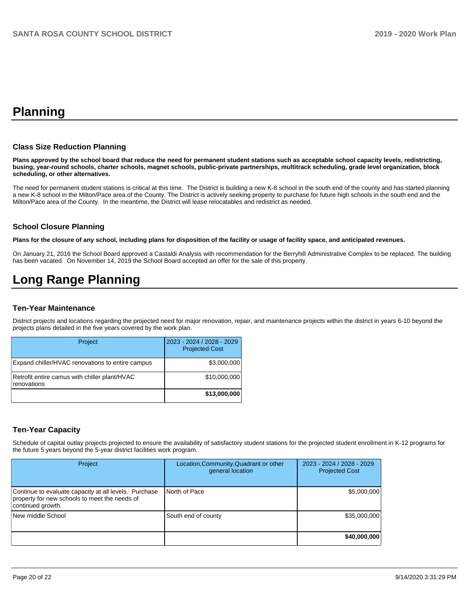# **Planning**

#### **Class Size Reduction Planning**

**Plans approved by the school board that reduce the need for permanent student stations such as acceptable school capacity levels, redistricting, busing, year-round schools, charter schools, magnet schools, public-private partnerships, multitrack scheduling, grade level organization, block scheduling, or other alternatives.**

The need for permanent student stations is critical at this time. The District is building a new K-8 school in the south end of the county and has started planning a new K-8 school in the Milton/Pace area of the County. The District is actively seeking property to purchase for future high schools in the south end and the Milton/Pace area of the County. In the meantime, the District will lease relocatables and redistrict as needed.

#### **School Closure Planning**

**Plans for the closure of any school, including plans for disposition of the facility or usage of facility space, and anticipated revenues.** 

On January 21, 2016 the School Board approved a Castaldi Analysis with recommendation for the Berryhill Administrative Complex to be replaced. The building has been vacated. On November 14, 2019 the School Board accepted an offer for the sale of this property.

# **Long Range Planning**

#### **Ten-Year Maintenance**

District projects and locations regarding the projected need for major renovation, repair, and maintenance projects within the district in years 6-10 beyond the projects plans detailed in the five years covered by the work plan.

| Project                                                      | 2023 - 2024 / 2028 - 2029<br><b>Projected Cost</b> |
|--------------------------------------------------------------|----------------------------------------------------|
| Expand chiller/HVAC renovations to entire campus             | \$3,000,000                                        |
| Retrofit entire camus with chiller plant/HVAC<br>renovations | \$10,000,000                                       |
|                                                              | \$13,000,000                                       |

#### **Ten-Year Capacity**

Schedule of capital outlay projects projected to ensure the availability of satisfactory student stations for the projected student enrollment in K-12 programs for the future 5 years beyond the 5-year district facilities work program.

| Project                                                                                                                     | Location, Community, Quadrant or other<br>general location | 2023 - 2024 / 2028 - 2029<br><b>Projected Cost</b> |
|-----------------------------------------------------------------------------------------------------------------------------|------------------------------------------------------------|----------------------------------------------------|
| Continue to evaluate capacity at all levels. Purchase<br>property for new schools to meet the needs of<br>continued growth. | North of Pace                                              | \$5,000,000                                        |
| New middle School                                                                                                           | South end of county                                        | \$35,000,000                                       |
|                                                                                                                             |                                                            | \$40,000,000                                       |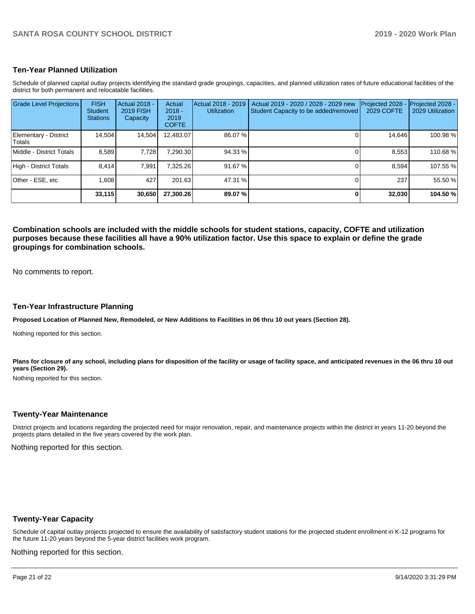#### **Ten-Year Planned Utilization**

Schedule of planned capital outlay projects identifying the standard grade groupings, capacities, and planned utilization rates of future educational facilities of the district for both permanent and relocatable facilities.

| <b>Grade Level Projections</b>   | <b>FISH</b><br><b>Student</b><br><b>Stations</b> | Actual 2018 -<br><b>2019 FISH</b><br>Capacity | Actual<br>$2018 -$<br>2019<br><b>COFTE</b> | Actual 2018 - 2019<br><b>Utilization</b> | Actual 2019 - 2020 / 2028 - 2029 new<br>Student Capacity to be added/removed | Projected 2028<br><b>2029 COFTE</b> | Projected 2028 -<br>2029 Utilization |
|----------------------------------|--------------------------------------------------|-----------------------------------------------|--------------------------------------------|------------------------------------------|------------------------------------------------------------------------------|-------------------------------------|--------------------------------------|
| Elementary - District<br> Totals | 14,504                                           | 14,504                                        | 12,483.07                                  | 86.07%                                   |                                                                              | 14,646                              | 100.98%                              |
| Middle - District Totals         | 8.589                                            | 7.728                                         | 7,290.30                                   | 94.33 %                                  |                                                                              | 8,553                               | 110.68%                              |
| High - District Totals           | 8.414                                            | 7.991                                         | 7.325.26                                   | 91.67 %                                  |                                                                              | 8.594                               | 107.55 %                             |
| Other - ESE, etc                 | 1.608                                            | 427                                           | 201.63                                     | 47.31 %                                  |                                                                              | 237                                 | 55.50 %                              |
|                                  | 33,115                                           | 30,650                                        | 27,300.26                                  | 89.07%                                   |                                                                              | 32,030                              | 104.50 %                             |

**Combination schools are included with the middle schools for student stations, capacity, COFTE and utilization purposes because these facilities all have a 90% utilization factor. Use this space to explain or define the grade groupings for combination schools.** 

No comments to report.

#### **Ten-Year Infrastructure Planning**

**Proposed Location of Planned New, Remodeled, or New Additions to Facilities in 06 thru 10 out years (Section 28).**

Nothing reported for this section.

Plans for closure of any school, including plans for disposition of the facility or usage of facility space, and anticipated revenues in the 06 thru 10 out **years (Section 29).**

Nothing reported for this section.

#### **Twenty-Year Maintenance**

District projects and locations regarding the projected need for major renovation, repair, and maintenance projects within the district in years 11-20 beyond the projects plans detailed in the five years covered by the work plan.

Nothing reported for this section.

#### **Twenty-Year Capacity**

Schedule of capital outlay projects projected to ensure the availability of satisfactory student stations for the projected student enrollment in K-12 programs for the future 11-20 years beyond the 5-year district facilities work program.

Nothing reported for this section.